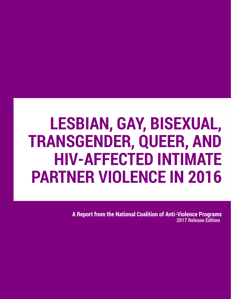# **LESBIAN, GAY, BISEXUAL, TRANSGENDER, QUEER, AND HIV-AFFECTED INTIMATE PARTNER VIOLENCE IN 2016**

**A Report from the National Coalition of Anti-Violence Programs 2017 Release Edition**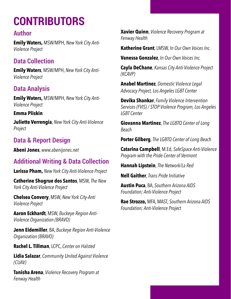## **CONTRIBUTORS**

## **Author**

**Emily Waters,** MSW/MPH, *New York City Anti-Violence Project*

## **Data Collection**

**Emily Waters**, MSW/MPH, *New York City Anti-Violence Project*

## **Data Analysis**

**Emily Waters,** MSW/MPH, *New York City Anti-Violence Project*

**Emma Pliskin Juliette Verrengia**, *New York City Anti-Violence Project*

## **Data & Report Design**

**Abeni Jones**, *www.abenijones.net*

## **Additional Writing & Data Collection**

**Larissa Pham,** *New York City Anti-Violence Project*

**Catherine Shugrue dos Santos**, MSW, *The New York City Anti-Violence Project*

**Chelsea Convery**, MSW, *New York City-Anti Violence Project*

**Aaron Eckhardt**, MSW, *Buckeye Region Anti-Violence Organization (BRAVO)*

**Jenn Eidemiller**, BA, *Buckeye Region Anti-Violence Organization (BRAVO)*

**Rachel L. Tillman**, LCPC, *Center on Halsted*

**Lidia Salazar**, *Community United Against Violence (CUAV)*

**Tanisha Arena**, *Violence Recovery Program at Fenway Health*

**Xavier Quinn**, *Violence Recovery Program at Fenway Health*

**Katherine Grant**, LMSW, *In Our Own Voices Inc.* 

**Vanessa Gonzalez**, *In Our Own Voices Inc.* 

**Cayla DeChane**, *Kansas City Anti-Violence Project (KCAVP)*

**Anabel Martinez**, *Domestic Violence Legal Advocacy Project, Los Angeles LGBT Center*

**Devika Shankar**, *Family Violence Intervention Services (FVIS) / STOP Violence Program, Los Angeles LGBT Center*

**Giovanna Martinez**, *The LGBTQ Center of Long Beach*

**Porter Gilberg**, *The LGBTQ Center of Long Beach*

**Catarina Campbell**, M.Ed, *SafeSpace Anti-Violence Program with the Pride Center of Vermont*

**Hannah Lipstein**, *The Network/La Red*

**Nell Gaither**, *Trans Pride Initiative*

**Austin Puca**, BA, *Southern Arizona AIDS Foundation; Anti-Violence Project*

**Rae Strozzo,** MFA, MAST, *Southern Arizona AIDS Foundation; Anti-Violence Project*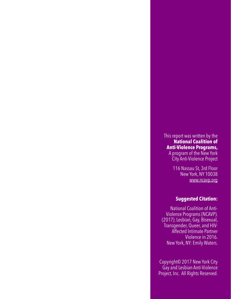#### This report was written by the **National Coalition of Anti-Violence Programs,**  A program of the New York City Anti-Violence Project

116 Nassau St, 3rd Floor New York, NY 10038 [www.ncavp.org](http://www.ncavp.org)

#### **Suggested Citation:**

National Coalition of Anti-Violence Programs (NCAVP). (2017). Lesbian, Gay, Bisexual, Transgender, Queer, and HIV-Affected Intimate Partner Violence in 2016. New York, NY: Emily Waters.

Copyright© 2017 New York City Gay and Lesbian Anti-Violence Project, Inc. All Rights Reserved.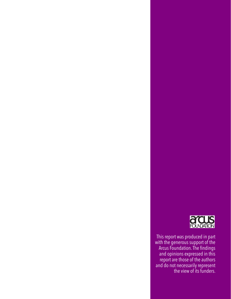

This report was produced in part with the generous support of the Arcus Foundation. The findings and opinions expressed in this report are those of the authors and do not necessarily represent the view of its funders.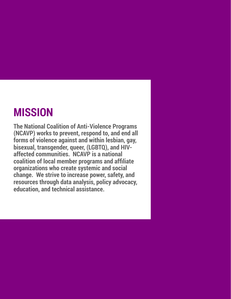## **MISSION**

**The National Coalition of Anti-Violence Programs (NCAVP) works to prevent, respond to, and end all forms of violence against and within lesbian, gay, bisexual, transgender, queer, (LGBTQ), and HIVaffected communities. NCAVP is a national coalition of local member programs and affiliate organizations who create systemic and social change. We strive to increase power, safety, and resources through data analysis, policy advocacy, education, and technical assistance.**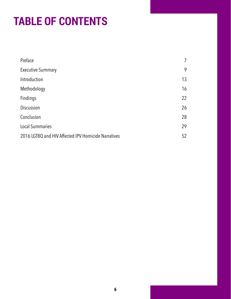## **TABLE OF CONTENTS**

| Preface                                             | 7  |
|-----------------------------------------------------|----|
| <b>Executive Summary</b>                            | 9  |
| Introduction                                        | 13 |
| Methodology                                         | 16 |
| Findings                                            | 22 |
| <b>Discussion</b>                                   | 26 |
| Conclusion                                          | 28 |
| <b>Local Summaries</b>                              | 29 |
| 2016 LGTBQ and HIV Affected IPV Homicide Narratives | 52 |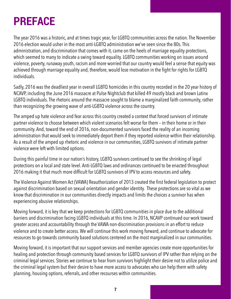## <span id="page-6-0"></span>**PREFACE**

The year 2016 was a historic, and at times tragic year, for LGBTQ communities across the nation. The November 2016 election would usher in the most anti-LGBTQ administration we've seen since the 80s. This administration, and discrimination that comes with it, came on the heels of marriage equality protections, which seemed to many to indicate a swing toward equality. LGBTQ communities working on issues around violence, poverty, runaway youth, racism and more worried that our country would feel a sense that equity was achieved through marriage equality and, therefore, would lose motivation in the fight for rights for LGBTQ individuals.

Sadly, 2016 was the deadliest year in overall LGBTQ homicides in this country recorded in the 20 year history of NCAVP, including the June 2016 massacre at Pulse Nightclub that killed 49 mostly black and brown Latinx LGBTQ individuals. The rhetoric around the massacre sought to blame a marginalized faith community, rather than recognizing the growing wave of anti-LGBTQ violence across the country.

The amped up hate violence and fear across this country created a context that forced survivors of intimate partner violence to choose between which violent scenarios felt worse for them – in their home or in their community. And, toward the end of 2016, non-documented survivors faced the reality of an incoming administration that would seek to immediately deport them if they reported violence within their relationship. As a result of the amped up rhetoric and violence in our communities, LGBTQ survivors of intimate partner violence were left with limited options.

During this painful time in our nation's history, LGBTQ survivors continued to see the shrinking of legal protections on a local and state level. Anti-LGBTQ laws and ordinances continued to be enacted throughout 2016 making it that much more difficult for LGBTQ survivors of IPV to access resources and safety.

The Violence Against Women Act (VAWA) Reauthorization of 2013 created the first federal legislation to protect against discrimination based on sexual orientation and gender identity. These protections are so vital as we know that discrimination in our communities directly impacts and limits the choices a survivor has when experiencing abusive relationships.

Moving forward, it is key that we keep protections for LGBTQ communities in place due to the additional barriers and discrimination facing LGBTQ individuals at this time. In 2016, NCAVP continued our work toward greater access and accountability through the VAWA non-discrimination provisions in an effort to reduce violence and to create better access. We will continue this work moving forward, and continue to advocate for resources to go towards community based solutions centered on the most marginalized in our communities.

Moving forward, it is important that our support services and member agencies create more opportunities for healing and protection through community based services for LGBTQ survivors of IPV rather than relying on the criminal legal services. Stories we continue to hear from survivors highlight their desire not to utilize police and the criminal legal system but their desire to have more access to advocates who can help them with safety planning, housing options, referrals, and other recourses within communities.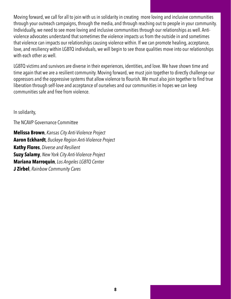Moving forward, we call for all to join with us in solidarity in creating more loving and inclusive communities through your outreach campaigns, through the media, and through reaching out to people in your community. Individually, we need to see more loving and inclusive communities through our relationships as well. Antiviolence advocates understand that sometimes the violence impacts us from the outside in and sometimes that violence can impacts our relationships causing violence within. If we can promote healing, acceptance, love, and resiliency within LGBTQ individuals, we will begin to see those qualities move into our relationships with each other as well.

LGBTQ victims and survivors are diverse in their experiences, identities, and love. We have shown time and time again that we are a resilient community. Moving forward, we must join together to directly challenge our oppressors and the oppressive systems that allow violence to flourish. We must also join together to find true liberation through self-love and acceptance of ourselves and our communities in hopes we can keep communities safe and free from violence.

In solidarity,

The NCAVP Governance Committee

**Melissa Brown**, *Kansas City Anti-Violence Project* **Aaron Eckhardt**, *Buckeye Region Anti-Violence Project* **Kathy Flores**, *Diverse and Resilient* **Suzy Salamy**, *New York City Anti-Violence Project* **Mariana Marroquin**, *Los Angeles LGBTQ Center* **J Zirbel**, *Rainbow Community Cares*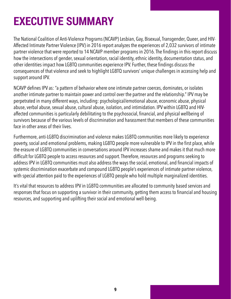## <span id="page-8-0"></span>**EXECUTIVE SUMMARY**

The National Coalition of Anti-Violence Programs (NCAVP) Lesbian, Gay, Bisexual, Transgender, Queer, and HIV-Affected Intimate Partner Violence (IPV) in 2016 report analyzes the experiences of 2,032 survivors of intimate partner violence that were reported to 14 NCAVP member programs in 2016. The findings in this report discuss how the intersections of gender, sexual orientation, racial identity, ethnic identity, documentation status, and other identities impact how LGBTQ communities experience IPV. Further, these findings discuss the consequences of that violence and seek to highlight LGBTQ survivors' unique challenges in accessing help and support around IPV.

NCAVP defines IPV as: "a pattern of behavior where one intimate partner coerces, dominates, or isolates another intimate partner to maintain power and control over the partner and the relationship." IPV may be perpetrated in many different ways, including: psychological/emotional abuse, economic abuse, physical abuse, verbal abuse, sexual abuse, cultural abuse, isolation, and intimidation. IPV within LGBTQ and HIVaffected communities is particularly debilitating to the psychosocial, financial, and physical wellbeing of survivors because of the various levels of discrimination and harassment that members of these communities face in other areas of their lives.

Furthermore, anti-LGBTQ discrimination and violence makes LGBTQ communities more likely to experience poverty, social and emotional problems, making LGBTQ people more vulnerable to IPV in the first place, while the erasure of LGBTQ communities in conversations around IPV increases shame and makes it that much more difficult for LGBTQ people to access resources and support. Therefore, resources and programs seeking to address IPV in LGBTQ communities must also address the ways the social, emotional, and financial impacts of systemic discrimination exacerbate and compound LGBTQ people's experiences of intimate partner violence, with special attention paid to the experiences of LGBTQ people who hold multiple marginalized identities.

It's vital that resources to address IPV in LGBTQ communities are allocated to community based services and responses that focus on supporting a survivor in their community, getting them access to financial and housing resources, and supporting and uplifting their social and emotional well-being.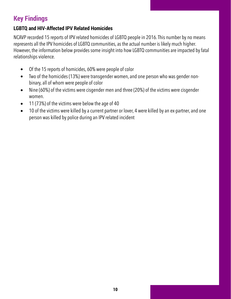## **Key Findings**

## **LGBTQ and HIV-Affected IPV Related Homicides**

NCAVP recorded 15 reports of IPV related homicides of LGBTQ people in 2016. This number by no means represents all the IPV homicides of LGBTQ communities, as the actual number is likely much higher. However, the information below provides some insight into how LGBTQ communities are impacted by fatal relationships violence.

- Of the 15 reports of homicides, 60% were people of color
- Two of the homicides (13%) were transgender women, and one person who was gender nonbinary, all of whom were people of color
- Nine (60%) of the victims were cisgender men and three (20%) of the victims were cisgender women.
- 11 (73%) of the victims were below the age of 40
- 10 of the victims were killed by a current partner or lover, 4 were killed by an ex-partner, and one person was killed by police during an IPV related incident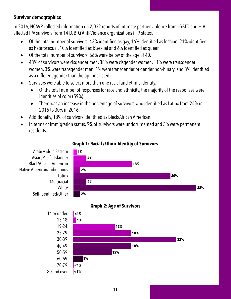## **Survivor demographics**

In 2016, NCAVP collected information on 2,032 reports of intimate partner violence from LGBTQ and HIV affected IPV survivors from 14 LGBTQ Anti-Violence organizations in 9 states.

- Of the total number of survivors, 43% identified as gay, 16% identified as lesbian, 21% identified as heterosexual, 10% identified as bisexual and 6% identified as queer.
- Of the total number of survivors, 66% were below of the age of 40.
- 43% of survivors were cisgender men, 38% were cisgender women, 11% were transgender women, 3% were transgender men, 1% were transgender or gender non-binary, and 3% identified as a different gender than the options listed.
- Survivors were able to select more than one racial and ethnic identity.
	- Of the total number of responses for race and ethnicity, the majority of the responses were identities of color (59%).
	- There was an increase in the percentage of survivors who identified as Latinx from 24% in 2015 to 30% in 2016.
- Additionally, 18% of survivors identified as Black/African American.
- In terms of immigration status, 9% of survivors were undocumented and 3% were permanent residents.



## **Graph 1: Racial /Ethnic Identity of Survivors**

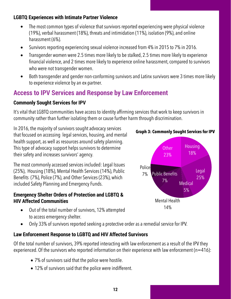## **LGBTQ Experiences with Intimate Partner Violence**

- The most common types of violence that survivors reported experiencing were physical violence (19%), verbal harassment (18%), threats and intimidation (11%), isolation (9%), and online harassment (6%).
- Survivors reporting experiencing sexual violence increased from 4% in 2015 to 7% in 2016.
- Transgender women were 2.5 times more likely to be stalked, 2.5 times more likely to experience financial violence, and 2 times more likely to experience online harassment, compared to survivors who were not transgender women.
- Both transgender and gender non-conforming survivors and Latinx survivors were 3 times more likely to experience violence by an ex-partner.

## **Access to IPV Services and Response by Law Enforcement**

## **Commonly Sought Services for IPV**

It's vital that LGBTQ communities have access to identity affirming services that work to keep survivors in community rather than further isolating them or cause further harm through discrimination.

In 2016, the majority of survivors sought advocacy services that focused on accessing legal services, housing, and mental health support, as well as resources around safety planning. This type of advocacy support helps survivors to determine their safety and increases survivors' agency.

The most commonly accessed services included: Legal Issues (25%), Housing (18%), Mental Health Services (14%), Public Benefits (7%), Police (7%), and Other Services (23%), which included Safety Planning and Emergency Funds.

## **Emergency Shelter Orders of Protection and LGBTQ & HIV Affected Communities**

- Out of the total number of survivors, 12% attempted to access emergency shelter.
- Only 33% of survivors reported seeking a protective order as a remedial service for IPV.

## **Law Enforcement Response to LGBTQ and HIV Affected Survivors**

Of the total number of survivors, 39% reported interacting with law enforcement as a result of the IPV they experienced. Of the survivors who reported information on their experience with law enforcement ( $n=416$ ):

- 7% of survivors said that the police were hostile.
- 12% of survivors said that the police were indifferent.

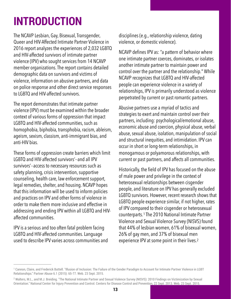## <span id="page-12-0"></span>**INTRODUCTION**

The NCAVP Lesbian, Gay, Bisexual, Transgender, Queer and HIV-Affected Intimate Partner Violence in 2016 report analyzes the experiences of 2,032 LGBTQ and HIV-affected survivors of intimate partner violence (IPV) who sought services from 14 NCAVP member organizations. The report contains detailed demographic data on survivors and victims of violence, information on abusive partners, and data on police response and other direct service responses to LGBTQ and HIV-affected survivors.

The report demonstrates that intimate partner violence (IPV) must be examined within the broader context of various forms of oppression that impact LGBTQ and HIV-affected communities, such as homophobia, biphobia, transphobia, racism, ableism, ageism, sexism, classism, anti-immigrant bias, and anti-HIV bias.

These forms of oppression create barriers which limit LGBTQ and HIV-affected survivors'--and all IPV survivors'--access to necessary resources such as safety planning, crisis intervention, supportive counseling, health care, law enforcement support, legal remedies, shelter, and housing. NCAVP hopes that this information will be used to inform policies and practices on IPV and other forms of violence in order to make them more inclusive and effective in addressing and ending IPV within all LGBTQ and HIVaffected communities.

IPV is a serious and too often fatal problem facing LGBTQ and HIV-affected communities. Language used to describe IPV varies across communities and disciplines (e.g., relationship violence, dating violence, or domestic violence).

NCAVP defines IPV as: "a pattern of behavior where one intimate partner coerces, dominates, or isolates another intimate partner to maintain power and control over the partner and the relationship." While NCAVP recognizes that LGBTQ and HIV-affected people can experience violence in a variety of relationships, IPV is primarily understood as violence perpetrated by current or past romantic partners.

Abusive partners use a myriad of tactics and strategies to exert and maintain control over their partners, including: psychological/emotional abuse, economic abuse and coercion, physical abuse, verbal abuse, sexual abuse, isolation, manipulation of social and structural inequities, and intimidation. IPV can occur in short or long-term relationships, in monogamous or polyamorous relationships, with current or past partners, and affects all communities.

<span id="page-12-4"></span><span id="page-12-3"></span>Historically, the field of IPV has focused on the abuse of male power and privilege in the context of heterosexual relationships between cisgender people, and literature on IPV has generally excluded LGBTQ survivors. However, recent research shows that LGBTQ people experience similar, if not higher, rates of IPV compared to their cisgender or heterosexual counterparts.<sup>1</sup>The20[1](#page-12-1)0 National Intimate Partner Violence and Sexual Violence Survey (NISVS) found that 44% of lesbian women, 61% of bisexual women, 26% of gay men, and 37% of bisexual men experience IPV at some point in their lives[.](#page-12-2) [2](#page-12-2)

<span id="page-12-1"></span><sup>&</sup>lt;sup>1</sup>Cannon, Claire, and Frederick Buttell. "Illusion of Inclusion: The Failure of the Gender Paradigm to Account for Intimate Partner Violence in LGBT Relationships." Partner Abuse 6.1 (2015): 65-77. Web. 23 Sept. 2015.

<span id="page-12-2"></span><sup>&</sup>lt;sup>2</sup>Walters, M.L., and M.J. Breiding. "The National Intimate Partner and Sexual Violence Survey (NISVS): [2](#page-12-4)010 Findings on Victimization by Sexual Orientation." National Center for Injury Prevention and Control. Centers for Disease Control and Prevention, 22 Sept. 2013. Web. 23 Sept. 2015.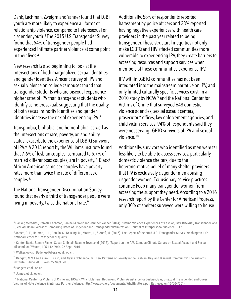<span id="page-13-8"></span>Dank, Lachman, Zweigm and Yahner found that LGBT youth are more likely to experience all forms of relationship violence, compared to heterosexual or cisgenderyouth. $3$ The 2015 U.S. Transgender Survey found that 54% of transgender people had experienced intimate partner violence at some point in their lives.[4](#page-13-1)

<span id="page-13-9"></span>New research is also beginning to look at the intersections of both marginalized sexual identities and gender identities. A recent survey of IPV and sexual violence on college campuses found that transgender students who are bisexual experience higher rates of IPV than transgender students who identify as heterosexual, suggesting that the duality of both sexual minority identities and gender identities increase the risk of experiencing IPV. [5](#page-13-2)

<span id="page-13-11"></span>Transphobia, biphobia, and homophobia, as well as the intersections of race, poverty, or, and ability status, exacerbate the experience of LGBTQ survivors of IPV.<sup>[6](#page-13-3)</sup> A 2013 report by the Williams Institute found that 7.6% of lesbian couples, compared to 5.7% of married different-sex couples, are in poverty.<sup>7</sup> Black/ African American same-sex couples have poverty rates more than twice the rate of different-sex couples.[8](#page-13-5)

<span id="page-13-13"></span>The National Transgender Discrimination Survey found that nearly a third of transgender people were living in poverty, twice the national rate.<sup>[9](#page-13-6)</sup>

Additionally, 58% of respondents reported harassment by police officers and 33% reported having negative experiences with health care providers in the past year related to being transgender. These structural inequities not only make LGBTQ and HIV affected communities more vulnerable to experiencing IPV, they create barriers to accessing resources and support services when members of these communities experience IPV.

IPV within LGBTQ communities has not been integrated into the mainstream narrative on IPV, and only limited culturally specific services exist. In a 2010 study by NCAVP and the National Center for Victims of Crime that surveyed 648 domestic violence agencies, sexual assault centers, prosecutors' offices, law enforcement agencies, and child victim services, 94% of respondents said they were not serving LGBTQ survivors of IPV and sexual violence.[10](#page-13-7)

<span id="page-13-15"></span><span id="page-13-14"></span><span id="page-13-12"></span><span id="page-13-10"></span>Additionally, survivors who identified as men were far less likely to be able to access services, particularly domestic violence shelters, due to the heteronormative belief of many shelter providers that IPV is exclusively cisgender men abusing cisgender women. Exclusionary service practices continue keep many transgender women from accessing the support they need. According to a 2016 research report by the Center for American Progress, only 30% of shelters surveyed were willing to house

<span id="page-13-5"></span><sup>[8](#page-13-13)</sup> Badgett, et al., op cit.

<span id="page-13-6"></span><sup>[9](#page-13-14)</sup> James, et al., op cit.

<span id="page-13-0"></span><sup>&</sup>lt;sup>3</sup>Danker, Meredith., Pamela Lachman, Janine M Zweif and Jennifer Yahner (2014). "Dating Violence Experiences of Lesbian, Gay, Bisexual, Transgender, and Queer Adults in Colorado: Comparing Rates of Cisgender and Transgender Victimization." Journal of Interpersonal Violence, 1-17.

<span id="page-13-1"></span><sup>&</sup>lt;sup>4</sup>James, S. E., Herman, J. L., Rankin, S., Keisling, M., Mottet, L., & Anafi, M. (2016). The Report of the 2015 U.S. Transgender Survey. Washington, DC: National Center for Transgender Equality.

<span id="page-13-2"></span><sup>&</sup>lt;sup>5</sup>Cantor, David, Bonnie Fisher, Susan Chibnall, Reanne Townsend (201[5](#page-13-10)). "Report on the AAU Campus Climate Survey on Sexual Assault and Sexual Misconduct." Westat, 105-112. Web. 22 Sept. 2016

<span id="page-13-3"></span><sup>&</sup>lt;sup>[6](#page-13-11)</sup> Walker, op cit.; Badenes-Ribera, et al., op cit.

<span id="page-13-4"></span> $^7$  $^7$ Badgett, M.V. Lee, Laura E. Durso, and Alyssa Schneebaum. "New Patterns of Poverty in the Lesbian, Gay, and Bisexual Community." The Williams Institute, 1 June 2013. Web. 22 Sept. 2015.

<span id="page-13-7"></span><sup>&</sup>lt;sup>10</sup>National Center for Victims of Crime and NCAVP, Why It Matters: Rethinking Victim Assistance for Lesbian, Gay, Bisexual, Transgender, and Queer Victims of Hate Violence & Intimate Partner Violence. http://www.avp.org/documents/WhyItMatters.pdf. Retrieved on 10/004/2014.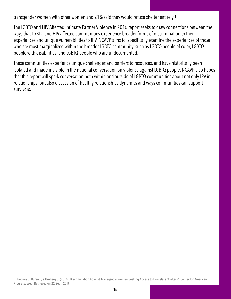<span id="page-14-1"></span>transgender women with other women and 21% said they would refuse shelter entirely.[11](#page-14-0)

The LGBTQ and HIV Affected Intimate Partner Violence in 2016 report seeks to draw connections between the ways that LGBTQ and HIV affected communities experience broader forms of discrimination to their experiences and unique vulnerabilities to IPV. NCAVP aims to specifically examine the experiences of those who are most marginalized within the broader LGBTQ community, such as LGBTQ people of color, LGBTQ people with disabilities, and LGBTQ people who are undocumented.

These communities experience unique challenges and barriers to resources, and have historically been isolated and made invisible in the national conversation on violence against LGBTQ people. NCAVP also hopes that this report will spark conversation both within and outside of LGBTQ communities about not only IPV in relationships, but also discussion of healthy relationships dynamics and ways communities can support survivors.

<span id="page-14-0"></span><sup>&</sup>lt;sup>11</sup>Rooney C, Durso L, & Gruberg S. (2016). Discrimination Against Transgender Women Seeking Access to Homeless Shelters". Center for American Progress. Web. Retrieved on 22 Sept. 2016.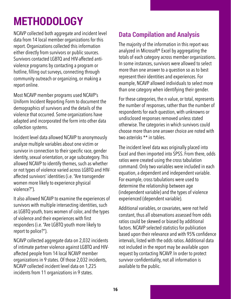## <span id="page-15-0"></span>**METHODOLOGY**

NCAVP collected both aggregate and incident level data from 14 local member organizations for this report. Organizations collected this information either directly from survivors or public sources. Survivors contacted LGBTQ and HIV-affected antiviolence programs by contacting a program or hotline, filling out surveys, connecting through community outreach or organizing, or making a report online.

Most NCAVP member programs used NCAVP's Uniform Incident Reporting Form to document the demographics of survivors and the details of the violence that occurred. Some organizations have adapted and incorporated the form into other data collection systems.

Incident level data allowed NCAVP to anonymously analyze multiple variables about one victim or survivor in connection to their specific race, gender identity, sexual orientation, or age subcategory. This allowed NCAVP to identify themes, such as whether or not types of violence varied across LGBTQ and HIVaffected survivors' identities (i.e. "Are transgender women more likely to experience physical violence?").

It also allowed NCAVP to examine the experiences of survivors with multiple intersecting identities, such as LGBTQ youth, trans women of color, and the types of violence and their experiences with first responders (i.e. "Are LGBTQ youth more likely to report to police?").

NCAVP collected aggregate data on 2,032 incidents of intimate partner violence against LGBTQ and HIVaffected people from 14 local NCAVP member organizations in 9 states. Of those 2,032 incidents, NCAVP collected incident level data on 1,225 incidents from 11 organizations in 9 states.

## **Data Compilation and Analysis**

The majority of the information in this report was analyzed in Microsoft® Excel by aggregating the totals of each category across member organizations. In some instances, survivors were allowed to select more than one answer to a question so as to best represent their identities and experiences. For example, NCAVP allowed individuals to select more than one category when identifying their gender.

For these categories, the n value, or total, represents the number of responses, rather than the number of respondents for each question, with unknowns or undisclosed responses removed unless stated otherwise. The categories in which survivors could choose more than one answer choice are noted with two asterisks \*\* in tables.

The incident level data was originally placed into Excel and then imported into SPSS. From there, odds ratios were created using the cross tabulation command. Only two variables were included in each equation, a dependent and independent variable. For example, cross tabulations were used to determine the relationship between age (independent variable) and the types of violence experienced (dependent variable).

Additional variables, or covariates, were not held constant, thus all observations assessed from odds ratios could be skewed or biased by additional factors. NCAVP selected statistics for publication based upon their relevance and with 95% confidence intervals, listed with the odds ratios. Additional data not included in the report may be available upon request by contacting NCAVP. In order to protect survivor confidentiality, not all information is available to the public.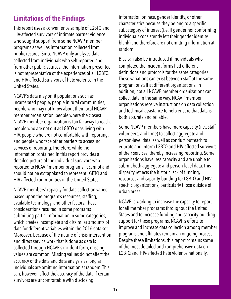## **Limitations of the Findings**

This report uses a convenience sample of LGBTQ and HIV-affected survivors of intimate partner violence who sought support from some NCAVP member programs as well as information collected from public records. Since NCAVP only analyzes data collected from individuals who self-reported and from other public sources, the information presented is not representative of the experiences of all LGBTQ and HIV-affected survivors of hate violence in the United States.

NCAVP's data may omit populations such as incarcerated people, people in rural communities, people who may not know about their local NCAVP member organization, people where the closest NCAVP member organization is too far away to reach, people who are not out as LGBTQ or as living with HIV, people who are not comfortable with reporting, and people who face other barriers to accessing services or reporting. Therefore, while the information contained in this report provides a detailed picture of the individual survivors who reported to NCAVP member programs, it cannot and should not be extrapolated to represent LGBTQ and HIV-affected communities in the United States.

NCAVP members' capacity for data collection varied based upon the program's resources, staffing, available technology, and other factors. These considerations resulted in some programs submitting partial information in some categories, which creates incomplete and dissimilar amounts of data for different variables within the 2016 data set. Moreover, because of the nature of crisis intervention and direct service work that is done as data is collected through NCAVP's incident form, missing values are common. Missing values do not affect the accuracy of the data and data analysis as long as individuals are omitting information at random. This can, however, affect the accuracy of the data if certain survivors are uncomfortable with disclosing

information on race, gender identity, or other characteristics because they belong to a specific subcategory of interest (i.e. if gender nonconforming individuals consistently left their gender identity blank) and therefore are not omitting information at random.

Bias can also be introduced if individuals who completed the incident forms had different definitions and protocols for the same categories. These variations can exist between staff at the same program or staff at different organizations. In addition, not all NCAVP member organizations can collect data in the same way. NCAVP member organizations receive instructions on data collection and technical assistance to help ensure that data is both accurate and reliable.

Some NCAVP members have more capacity (i.e., staff, volunteers, and time) to collect aggregate and person-level data, as well as conduct outreach to educate and inform LGBTQ and HIV-affected survivors of their services, thereby increasing reporting. Some organizations have less capacity and are unable to submit both aggregate and person-level data. This disparity reflects the historic lack of funding, resources and capacity-building for LGBTQ and HIVspecific organizations, particularly those outside of urban areas.

NCAVP is working to increase the capacity to report for all member programs throughout the United States and to increase funding and capacity-building support for these programs. NCAVP's efforts to improve and increase data collection among member programs and affiliates remain an ongoing process. Despite these limitations, this report contains some of the most detailed and comprehensive data on LGBTQ and HIV-affected hate violence nationally.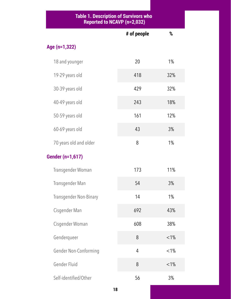#### **Table 1. Description of Survivors who Reported to NCAVP (n=2,032)**

|                        | # of people    | %       |
|------------------------|----------------|---------|
| Age (n=1,322)          |                |         |
| 18 and younger         | 20             | 1%      |
| 19-29 years old        | 418            | 32%     |
| 30-39 years old        | 429            | 32%     |
| 40-49 years old        | 243            | 18%     |
| 50-59 years old        | 161            | 12%     |
| 60-69 years old        | 43             | 3%      |
| 70 years old and older | 8              | $1\%$   |
| Gender (n=1,617)       |                |         |
| Transgender Woman      | 173            | 11%     |
| Transgender Man        | 54             | 3%      |
| Transgender Non-Binary | 14             | $1\%$   |
| Cisgender Man          | 692            | 43%     |
| Cisgender Woman        | 608            | 38%     |
| Genderqueer            | 8              | $< 1\%$ |
| Gender Non-Conforming  | $\overline{4}$ | $< 1\%$ |
| Gender Fluid           | 8              | $< 1\%$ |
| Self-identified/Other  | 56             | 3%      |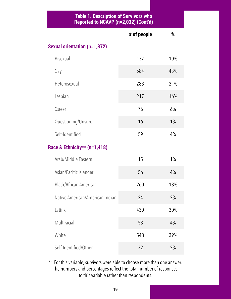#### **Table 1. Description of Survivors who Reported to NCAVP (n=2,032) (Cont'd)**

|                                     | # of people | %     |
|-------------------------------------|-------------|-------|
| <b>Sexual orientation (n=1,372)</b> |             |       |
| <b>Bisexual</b>                     | 137         | 10%   |
| Gay                                 | 584         | 43%   |
| Heterosexual                        | 283         | 21%   |
| Lesbian                             | 217         | 16%   |
| Queer                               | 76          | $6\%$ |
| Questioning/Unsure                  | 16          | $1\%$ |
| Self-Identified                     | 59          | 4%    |
| Race & Ethnicity** (n=1,418)        |             |       |
| Arab/Middle Eastern                 | 15          | 1%    |
| Asian/Pacific Islander              | 56          | 4%    |
| <b>Black/African American</b>       | 260         | 18%   |
| Native American/American Indian     | 24          | 2%    |
| Latinx                              | 430         | 30%   |
| Multiracial                         | 53          | 4%    |
| White                               | 548         | 39%   |
| Self-Identified/Other               | 32          | 2%    |

\*\* For this variable, survivors were able to choose more than one answer. The numbers and percentages reflect the total number of responses to this variable rather than respondents.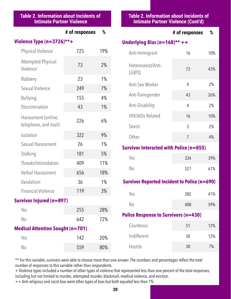## **Table 2. Information about Incidents of Intimate Partner Violence**

## **# of responses %**

### **Violence Type (n=3726)\*\*+**

| <b>Physical Violence</b>                    | 725 | 19% |  |
|---------------------------------------------|-----|-----|--|
| <b>Attempted Physical</b><br>Violence       | 73  | 2%  |  |
| Robbery                                     | 23  | 1%  |  |
| Sexual Violence                             | 249 | 7%  |  |
| <b>Bullying</b>                             | 155 | 4%  |  |
| Discrimination                              | 43  | 1%  |  |
| Harassment (online,<br>telephone, and mail) | 226 | 6%  |  |
| Isolation                                   | 322 | 9%  |  |
| Sexual Harassment                           | 26  | 1%  |  |
| Stalking                                    | 181 | 5%  |  |
| Threats/Intimidation                        | 409 | 11% |  |
| <b>Verbal Harassment</b>                    | 656 | 18% |  |
| Vandalism                                   | 36  | 1%  |  |
| <b>Financial Violence</b>                   | 119 | 3%  |  |
| Survivor Injured (n=897)                    |     |     |  |
| Yes                                         | 255 | 28% |  |
| N <sub>o</sub>                              | 642 | 72% |  |
| <b>Medical Attention Sought (n=701)</b>     |     |     |  |

Yes 142 20%

No 559 80%

### **Table 2. Information about Incidents of Intimate Partner Violence (Cont'd)**

## **# of responses %**

## **Underlying Bias (n=168)\*\* ++**

| Anti-Immigrant                     | 16 | 10% |
|------------------------------------|----|-----|
| Heterosexist/Anti-<br><b>LGBTQ</b> | 73 | 43% |
| Anti-Sex Worker                    | 4  | 2%  |
| Anti-Transgender                   | 43 | 26% |
| Anti-Disability                    | 4  | 2%  |
| <b>HIV/AIDs Related</b>            | 16 | 10% |
| Sexist                             | 3  | 2%  |
| Other                              | 7  | 4%  |
|                                    |    |     |

### **Survivor Interacted with Police (n=855)**

| Yes | 334 | 39% |
|-----|-----|-----|
| No  | 521 | 61% |

## **Survivor Reported Incident to Police (n=690)**

| Yes            | 282 | 41% |
|----------------|-----|-----|
| N <sub>o</sub> | 408 | 59% |

### **Police Response to Survivors (n=430)**

| Courteous   | 51 | 12% |
|-------------|----|-----|
| Indifferent | 50 | 12% |
| Hostile     | 30 | 7%  |

\*\* For this variable, survivors were able to choose more than one answer. The numbers and percentages reflect the total number of responses to this variable rather than respondents.

+ Violence types included a number of other types of violence that represented less than one percent of the total responses, including but not limited to murder, attempted murder, blackmail, medical violence, and eviction.

++ Anti-religious and racist bias were other types of bias but both equaled less than 1%.

**20**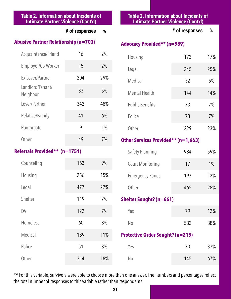### **Table 2. Information about Incidents of Intimate Partner Violence (Cont'd)**

|  | # of responses | % |
|--|----------------|---|
|--|----------------|---|

## **Abusive Partner Relationship (n=703)**

| Acquaintance/Friend          | 16  | 2%  |
|------------------------------|-----|-----|
| Employer/Co-Worker           | 15  | 2%  |
| Ex-Lover/Partner             | 204 | 29% |
| Landlord/Tenant/<br>Neighbor | 33  | 5%  |
| Lover/Partner                | 342 | 48% |
| Relative/Family              | 41  | 6%  |
| Roommate                     | 9   | 1%  |
| Other                        | 49  | 7%  |

### **Referrals Provided\*\* (n=1751)**

| Counseling | 163 | 9%  |
|------------|-----|-----|
| Housing    | 256 | 15% |
| Legal      | 477 | 27% |
| Shelter    | 119 | 7%  |
| DV         | 122 | 7%  |
| Homeless   | 60  | 3%  |
| Medical    | 189 | 11% |
| Police     | 51  | 3%  |
| Other      | 314 | 18% |

## **Table 2. Information about Incidents of Intimate Partner Violence (Cont'd)**

## **# of responses %**

## **Advocacy Provided\*\* (n=989)**

| Housing                | 173 | 17% |
|------------------------|-----|-----|
| Legal                  | 245 | 25% |
| Medical                | 52  | 5%  |
| <b>Mental Health</b>   | 144 | 14% |
| <b>Public Benefits</b> | 73  | 7%  |
| Police                 | 73  | 7%  |
| Other                  | 229 | 23% |

## **Other Services Provided\*\* (n=1,663)**

| <b>Safety Planning</b>  | 984 | 59%   |
|-------------------------|-----|-------|
| <b>Court Monitoring</b> | 17  | $1\%$ |
| <b>Emergency Funds</b>  | 197 | 12%   |
| Other                   | 465 | 28%   |

## **Shelter Sought? (n=661)**

| Yes            | 79  | 12% |
|----------------|-----|-----|
| N <sub>0</sub> | 582 | 88% |

## **Protective Order Sought? (n=215)**

| Yes | 70  | 33% |
|-----|-----|-----|
| No  | 145 | 67% |

\*\* For this variable, survivors were able to choose more than one answer. The numbers and percentages reflect the total number of responses to this variable rather than respondents.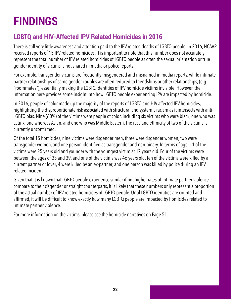## <span id="page-21-0"></span>**FINDINGS**

## **LGBTQ and HIV-Affected IPV Related Homicides in 2016**

There is still very little awareness and attention paid to the IPV related deaths of LGBTQ people. In 2016, NCAVP received reports of 15 IPV related homicides. It is important to note that this number does not accurately represent the total number of IPV related homicides of LGBTQ people as often the sexual orientation or true gender identity of victims is not shared in media or police reports.

For example, transgender victims are frequently misgendered and misnamed in media reports, while intimate partner relationships of same gender couples are often reduced to friendships or other relationships, (e.g. "roommates"), essentially making the LGBTQ identities of IPV homicide victims invisible. However, the information here provides some insight into how LGBTQ people experiencing IPV are impacted by homicide.

In 2016, people of color made up the majority of the reports of LGBTQ and HIV affected IPV homicides, highlighting the disproportionate risk associated with structural and systemic racism as it intersects with anti-LGBTQ bias. Nine (60%) of the victims were people of color, including six victims who were black, one who was Latinx, one who was Asian, and one who was Middle Eastern. The race and ethnicity of two of the victims is currently unconfirmed.

Of the total 15 homicides, nine victims were cisgender men, three were cisgender women, two were transgender women, and one person identified as transgender and non-binary. In terms of age, 11 of the victims were 25 years old and younger with the youngest victim at 17 years old. Four of the victims were between the ages of 33 and 39, and one of the victims was 46 years old. Ten of the victims were killed by a current partner or lover, 4 were killed by an ex-partner, and one person was killed by police during an IPV related incident.

Given that it is known that LGBTQ people experience similar if not higher rates of intimate partner violence compare to their cisgender or straight counterparts, it is likely that these numbers only represent a proportion of the actual number of IPV related homicides of LGBTQ people. Until LGBTQ identities are counted and affirmed, it will be difficult to know exactly how many LGBTQ people are impacted by homicides related to intimate partner violence.

For more information on the victims, please see the homicide narratives on Page 51.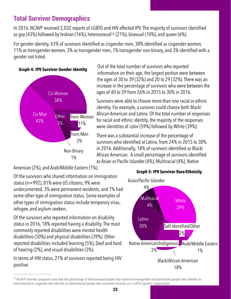## **Total Survivor Demographics**

In 2016, NCAVP received 2,032 reports of LGBTQ and HIV affected IPV. The majority of survivors identified as gay (43%) fo[l](#page-22-0)lowed by lesbian (16%), heterosexual<sup>[12](#page-22-0)</sup> (21%), bisexual (10%), and queer (6%).

For gender identity, 43% of survivors identified as cisgender men, 38% identified as cisgender women, 11% as transgender women, 3% as transgender men, 1% transgender non-binary, and 3% identified with a gender not listed.

## **Graph 4: IPV Survivor Gender Identity**



<span id="page-22-1"></span>Out of the total number of survivors who reported information on their age, the largest portion were between the ages of 30 to 39 (32%) and 20 to 29 (32%). There was an increase in the percentage of survivors who were between the ages of 40 to 59 from 26% in 2015 to 30% in 2016.

Survivors were able to choose more than one racial or ethnic identity. For example, a survivor could choose both Black/ African American and Latinx. Of the total number of responses for racial and ethnic identity, the majority of the responses were identities of color (59%) followed by White (39%).

There was a substantial increase of the percentage of survivors who identified at Latinx, from 24% in 2015 to 30% in 2016. Additionally, 18% of survivors identified as Black/ African American. A small percentage of survivors identified as Asian or Pacific Islander (4%), Multiracial (4%), Native

American (2%), and Arab/Middle Eastern (1%).

Of the survivors who shared information on immigration status (n=992), 81% were US citizens, 9% were undocumented, 3% were permanent residents, and 7% had some other type of immigration status. Some examples of other types of immigration status include temporary visas, refugee, and asylum seekers.

Of the survivors who reported information on disability status in 2016, 18% reported having a disability. The most commonly reported disabilities were mental health disabilities (50%) and physical disabilities (39%). Other reported disabilities included learning (5%), Deaf and hard of hearing (2%), and visual disabilities (3%).

In terms of HIV status, 21% of survivors reported being HIV positive.





<span id="page-22-0"></span> $12$ NCAVP member programs note that the percentage of heterosexual people may represent transgender and non-binary people who identify as heterosexual or cisgender who identify as heterosexual people who accessed services at a LGBTQ specific organization.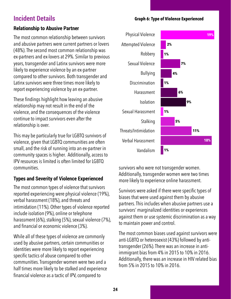## **Incident Details**

**Graph 6: Type of Violence Experienced**

## **Relationship to Abusive Partner**

The most common relationship between survivors and abusive partners were current partners or lovers (48%). The second most common relationship was ex-partners and ex-lovers at 29%. Similar to previous years, transgender and Latinx survivors were more likely to experience violence by an ex-partner compared to other survivors. Both transgender and Latinx survivors were three times more likely to report experiencing violence by an ex-partner.

These findings highlight how leaving an abusive relationship may not result in the end of the violence, and the consequences of the violence continue to impact survivors even after the relationship is over.

This may be particularly true for LGBTQ survivors of violence, given that LGBTQ communities are often small, and the risk of running into an ex-partner in community spaces is higher. Additionally, access to IPV resources is limited is often limited for LGBTQ communities.

## **Types and Severity of Violence Experienced**

The most common types of violence that survivors reported experiencing were physical violence (19%), verbal harassment (18%), and threats and intimidation (11%). Other types of violence reported include isolation (9%), online or telephone harassment (6%), stalking (5%), sexual violence (7%), and financial or economic violence (3%).

While all of these types of violence are commonly used by abusive partners, certain communities or identities were more likely to report experiencing specific tactics of abuse compared to other communities. Transgender women were two and a half times more likely to be stalked and experience financial violence as a tactic of IPV, compared to



survivors who were not transgender women. Additionally, transgender women were two times more likely to experience online harassment.

Survivors were asked if there were specific types of biases that were used against them by abusive partners. This includes when abusive partners use a survivors' marginalized identities or experiences against them or use systemic discrimination as a way to maintain power and control.

The most common biases used against survivors were anti-LGBTQ or heterosexist (43%) followed by antitransgender (26%). There was an increase in antiimmigrant bias from 4% in 2015 to 10% in 2016. Additionally, there was an increase in HIV related bias from 5% in 2015 to 10% in 2016.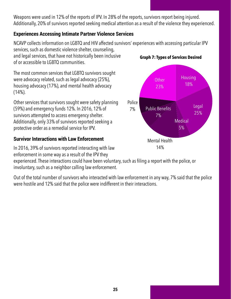Weapons were used in 12% of the reports of IPV. In 28% of the reports, survivors report being injured. Additionally, 20% of survivors reported seeking medical attention as a result of the violence they experienced.

## **Experiences Accessing Intimate Partner Violence Services**

NCAVP collects information on LGBTQ and HIV affected survivors' experiences with accessing particular IPV

services, such as domestic violence shelter, counseling, and legal services, that have not historically been inclusive of or accessible to LGBTQ communities.

The most common services that LGBTQ survivors sought were advocacy related, such as legal advocacy (25%), housing advocacy (17%), and mental health advocacy  $(14\%).$ 

Other services that survivors sought were safety planning (59%) and emergency funds 12%. In 2016, 12% of survivors attempted to access emergency shelter. Additionally, only 33% of survivors reported seeking a protective order as a remedial service for IPV.

## **Survivor Interactions with Law Enforcement**

In 2016, 39% of survivors reported interacting with law enforcement in some way as a result of the IPV they

experienced. These interactions could have been voluntary, such as filing a report with the police, or involuntary, such as a neighbor calling law enforcement.

Out of the total number of survivors who interacted with law enforcement in any way, 7% said that the police were hostile and 12% said that the police were indifferent in their interactions.



**Graph 7: Types of Services Desired**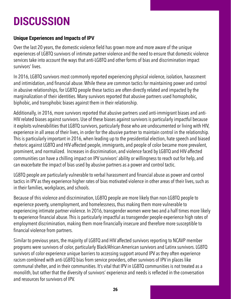## <span id="page-25-0"></span>**DISCUSSION**

## **Unique Experiences and Impacts of IPV**

Over the last 20 years, the domestic violence field has grown more and more aware of the unique experiences of LGBTQ survivors of intimate partner violence and the need to ensure that domestic violence services take into account the ways that anti-LGBTQ and other forms of bias and discrimination impact survivors' lives.

In 2016, LGBTQ survivors most commonly reported experiencing physical violence, isolation, harassment and intimidation, and financial abuse. While these are common tactics for maintaining power and control in abusive relationships, for LGBTQ people these tactics are often directly related and impacted by the marginalization of their identities. Many survivors reported that abusive partners used homophobic, biphobic, and transphobic biases against them in their relationship.

Additionally, in 2016, more survivors reported that abusive partners used anti-immigrant biases and anti-HIV related biases against survivors. Use of these biases against survivors is particularly impactful because it exploits vulnerabilities that LGBTQ survivors, particularly those who are undocumented or living with HIV, experience in all areas of their lives, in order for the abusive partner to maintain control in the relationship. This is particularly important in 2016, when leading up to the presidential election, hate speech and biased rhetoric against LGBTQ and HIV-affected people, immigrants, and people of color became more prevalent, prominent, and normalized. Increases in discrimination, and violence faced by LGBTQ and HIV-affected communities can have a chilling impact on IPV survivors' ability or willingness to reach out for help, and can exacerbate the impact of bias used by abusive partners as a power and control tactic.

LGBTQ people are particularly vulnerable to verbal harassment and financial abuse as power and control tactics in IPV as they experience higher rates of bias motivated violence in other areas of their lives, such as in their families, workplaces, and schools.

Because of this violence and discrimination, LGBTQ people are more likely than non-LGBTQ people to experience poverty, unemployment, and homelessness, thus making them more vulnerable to experiencing intimate partner violence. In 2016, transgender women were two and a half times more likely to experience financial abuse. This is particularly impactful as transgender people experience high rates of employment discrimination, making them more financially insecure and therefore more susceptible to financial violence from partners.

Similar to previous years, the majority of LGBTQ and HIV affected survivors reporting to NCAVP member programs were survivors of color, particularly Black/African American survivors and Latinx survivors. LGBTQ survivors of color experience unique barriers to accessing support around IPV as they often experience racism combined with anti-LGBTQ bias from service providers, other survivors of IPV in places like communal shelter, and in their communities. It's vital that IPV in LGBTQ communities is not treated as a monolith, but rather that the diversity of survivors' experience and needs is reflected in the conversation and resources for survivors of IPV.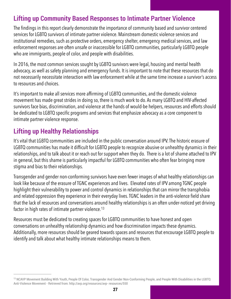## **Lifting up Community Based Responses to Intimate Partner Violence**

The findings in this report clearly demonstrate the importance of community based and survivor centered services for LGBTQ survivors of intimate partner violence. Mainstream domestic violence services and institutional remedies, such as protective orders, emergency shelter, emergency medical services, and law enforcement responses are often unsafe or inaccessible for LGBTQ communities, particularly LGBTQ people who are immigrants, people of color, and people with disabilities.

In 2016, the most common services sought by LGBTQ survivors were legal, housing and mental health advocacy, as well as safety planning and emergency funds. It is important to note that these resources that do not necessarily necessitate interaction with law enforcement while at the same time increase a survivor's access to resources and choices.

It's important to make all services more affirming of LGBTQ communities, and the domestic violence movement has made great strides in doing so, there is much work to do. As many LGBTQ and HIV-affected survivors face bias, discrimination, and violence at the hands of would-be helpers, resources and efforts should be dedicated to LGBTQ specific programs and services that emphasize advocacy as a core component to intimate partner violence response.

## **Lifting up Healthy Relationships**

It's vital that LGBTQ communities are included in the public conversation around IPV. The historic erasure of LGBTQ communities has made it difficult for LGBTQ people to recognize abusive or unhealthy dynamics in their relationships, and to talk about it or reach out for support when they do. There is a lot of shame attached to IPV in general, but this shame is particularly impactful for LGBTQ communities who often fear bringing more stigma and bias to their relationships.

Transgender and gender non-conforming survivors have even fewer images of what healthy relationships can look like because of the erasure of TGNC experiences and lives. Elevated rates of IPV among TGNC people highlight their vulnerability to power and control dynamics in relationships that can mirror the transphobia and related oppression they experience in their everyday lives. TGNC leaders in the anti-violence field share that the lack of resources and conversations around healthy relationships is an often under-noticed yet driving factor in high rates of intimate partner violence.<sup>13</sup>

<span id="page-26-1"></span>Resources must be dedicated to creating spaces for LGBTQ communities to have honest and open conversations on unhealthy relationship dynamics and how discrimination impacts these dynamics. Additionally, more resources should be geared towards spaces and resources that encourage LGBTQ people to identify and talk about what healthy intimate relationships means to them.

<span id="page-26-0"></span><sup>&</sup>lt;sup>13</sup>NCAVP Movement Building With Youth, People Of Color, Transgender And Gender Non-Conforming People, and People With Disabilities in the LGBTQ Anti-Violence Movement - Retrieved from: http://avp.org/resources/avp- resources/550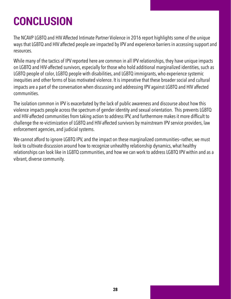## <span id="page-27-0"></span>**CONCLUSION**

The NCAVP LGBTQ and HIV Affected Intimate Partner Violence in 2016 report highlights some of the unique ways that LGBTQ and HIV affected people are impacted by IPV and experience barriers in accessing support and resources.

While many of the tactics of IPV reported here are common in all IPV relationships, they have unique impacts on LGBTQ and HIV-affected survivors, especially for those who hold additional marginalized identities, such as LGBTQ people of color, LGBTQ people with disabilities, and LGBTQ immigrants, who experience systemic inequities and other forms of bias motivated violence. It is imperative that these broader social and cultural impacts are a part of the conversation when discussing and addressing IPV against LGBTQ and HIV affected communities.

The isolation common in IPV is exacerbated by the lack of public awareness and discourse about how this violence impacts people across the spectrum of gender identity and sexual orientation. This prevents LGBTQ and HIV-affected communities from taking action to address IPV, and furthermore makes it more difficult to challenge the re-victimization of LGBTQ and HIV-affected survivors by mainstream IPV service providers, law enforcement agencies, and judicial systems.

We cannot afford to ignore LGBTQ IPV, and the impact on these marginalized communities—rather, we must look to cultivate discussion around how to recognize unhealthy relationship dynamics, what healthy relationships can look like in LGBTQ communities, and how we can work to address LGBTQ IPV within and as a vibrant, diverse community.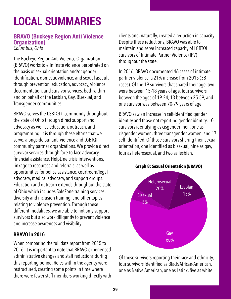## <span id="page-28-0"></span>**LOCAL SUMMARIES**

## **BRAVO (Buckeye Region Anti Violence Organization)**

*Columbus, Ohio* 

The Buckeye Region Anti Violence Organization (BRAVO) works to eliminate violence perpetrated on the basis of sexual orientation and/or gender identification, domestic violence, and sexual assault through prevention, education, advocacy, violence documentation, and survivor services, both within and on behalf of the Lesbian, Gay, Bisexual, and Transgender communities.

BRAVO serves the LGBTQI+ community throughout the state of Ohio through direct support and advocacy as well as education, outreach, and programming. It is through these efforts that we serve, alongside our anti-violence and LGBTQI+ community partner organizations. We provide direct survivor services through face-to-face advocacy, financial assistance, HelpLine crisis interventions, linkage to resources and referrals, as well as opportunities for police assistance, courtroom/legal advocacy, medical advocacy, and support groups. Education and outreach extends throughout the state of Ohio which includes SafeZone training services, diversity and inclusion training, and other topics relating to violence prevention. Through these different modalities, we are able to not only support survivors but also work diligently to prevent violence and increase awareness and visibility.

## **BRAVO in 2016**

When comparing the full data report from 2015 to 2016, It is important to note that BRAVO experienced administrative changes and staff reductions during this reporting period. Roles within the agency were restructured, creating some points in time where there were fewer staff members working directly with

clients and, naturally, created a reduction in capacity. Despite these reductions, BRAVO was able to maintain and serve increased capacity of LGBTQI survivors of Intimate Partner Violence (IPV) throughout the state.

In 2016, BRAVO documented 46 cases of intimate partner violence, a 21% increase from 2015 (38 cases). Of the 19 survivors that shared their age, two were between 15-18 years of age, four survivors between the ages of 19-24, 13 between 25-59, and one survivor was between 70-79 years of age.

BRAVO saw an increase in self-identified gender identity and those not reporting gender identity, 10 survivors identifying as cisgender men, one as cisgender women, three transgender women, and 17 self-identified. Of those survivors sharing their sexual orientation, one identified as bisexual, nine as gay, four as heterosexual, and two as lesbian.





Of those survivors reporting their race and ethnicity, four survivors identified as Black/African-American, one as Native American, one as Latinx, five as white.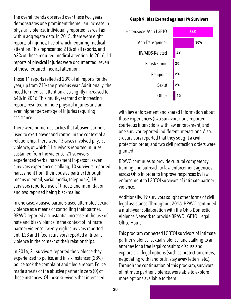The overall trends observed over these two years demonstrates one prominent theme - an increase in physical violence, individually reported, as well as within aggregate data. In 2015, there were eight reports of injuries, five of which requiring medical attention. This represented 21% of all reports, and 62% of those required medical attention. In 2016, 11 reports of physical injuries were documented, seven of those required medical attention.

Those 11 reports reflected 23% of all reports for the year, up from 21% the previous year. Additionally, the need for medical attention also slightly increased to 64% in 2016. This multi-year trend of increasing reports resulted in more physical injuries and an even higher percentage of injuries requiring assistance.

There were numerous tactics that abusive partners used to exert power and control in the context of a relationship. There were 13 cases involved physical violence, of which 11 survivors reported injuries sustained from the violence. 21 survivors experienced verbal harassment in-person, seven survivors experienced stalking, 10 survivors reported harassment from their abusive partner (through means of email, social media, telephone), 18 survivors reported use of threats and intimidation, and two reported being blackmailed.

In one case, abusive partners used attempted sexual violence as a means of controlling their partner. BRAVO reported a substantial increase of the use of hate and bias violence in the context of intimate partner violence, twenty-eight survivors reported anti-LGB and fifteen survivors reported anti-trans violence in the context of their relationships.

In 2016, 21 survivors reported the violence they experienced to police, and in six instances (28%) police took the complaint and filed a report. Police made arrests of the abusive partner in zero (0) of those instances. Of those survivors that interacted

#### **Graph 9: Bias Exerted against IPV Survivors**



with law enforcement and shared information about those experiences (two survivors), one reported courteous interactions with law enforcement, and one survivor reported indifferent interactions. Also, six survivors reported that they sought a civil protection order, and two civil protection orders were granted.

BRAVO continues to provide cultural competency training and outreach to law enforcement agencies across Ohio in order to improve responses by law enforcement to LGBTQI survivors of intimate partner violence.

Additionally, 19 survivors sought other forms of civil legal assistance. Throughout 2016, BRAVO continued a multi-year collaboration with the Ohio Domestic Violence Network to provide BRAVO LGBTQI Legal Office Hours.

This program connected LGBTQI survivors of intimate partner violence, sexual violence, and stalking to an attorney for a free legal consult to discuss and explore civil legal options (such as protection orders, negotiating with landlords, stay away letters, etc.). Through the continuation of this program, survivors of intimate partner violence, were able to explore more options available to them.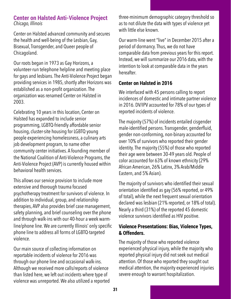### **Center on Halsted Anti-Violence Project** *Chicago, Illinois*

Center on Halsted advanced community and secures the health and well-being of the Lesbian, Gay, Bisexual, Transgender, and Queer people of Chicagoland.

Our roots began in 1973 as Gay Horizons, a volunteer-run telephone helpline and meeting place for gays and lesbians. The Anti-Violence Project began providing services in 1985, shortly after Horizons was established as a non-profit organization. The organization was renamed Center on Halsted in 2003.

Celebrating 10 years in this location, Center on Halsted has expanded to include senior programming, LGBTQ-friendly affordable senior housing, cluster-site housing for LGBTQ young people experiencing homelessness, a culinary arts job development program, to name other community center initiatives. A founding member of the National Coalition of Anti-Violence Programs, the Anti-Violence Project (AVP) is currently housed within behavioral health services.

This allows our service provision to include more extensive and thorough trauma focused psychotherapy treatment for survivors of violence. In addition to individual, group, and relationship therapies, AVP also provides brief case management, safety planning, and brief counseling over the phone and through walk-ins with our 40-hour a week warmline/phone line. We are currently Illinois' only specific phone line to address all forms of LGBTQ-targeted violence.

Our main source of collecting information on reportable incidents of violence for 2016 was through our phone line and occasional walk-ins. Although we received more calls/reports of violence than listed here, we left out incidents where type of violence was unreported. We also utilized a reported three-minimum demographic category threshold so as to not dilute the data with types of violence yet with little else known.

Our warm-line went "live" in December 2015 after a period of dormancy. Thus, we do not have comparable data from previous years for this report. Instead, we will summarize our 2016 data, with the intention to look at comparable data in the years hereafter.

## **Center on Halsted in 2016**

We interfaced with 45 persons calling to report incidences of domestic and intimate partner violence in 2016. DV/IPV accounted for 78% of our types of reported incidents of violence.

The majority (57%) of incidents entailed cisgender male-identified persons. Transgender, genderfluid, gender non-conforming, non-binary accounted for over 10% of survivors who reported their gender identity. The majority (55%) of those who reported their age were between 30-49 years old. People of color accounted for 63% of known ethnicity (29% African American, 26% Latinx, 3% Arab/Middle Eastern, and 5% Asian).

The majority of survivors who identified their sexual orientation identified as gay (56% reported, or 49% of total), while the next frequent sexual orientation declared was lesbian (21% reported, or 18% of total). Nearly a third (31%) of the reported 45 domestic violence survivors identified as HIV positive.

## **Violence Presentations: Bias, Violence Types, & Offenders.**

The majority of those who reported violence experienced physical injury, while the majority who reported physical injury did not seek out medical attention. Of those who reported they sought out medical attention, the majority experienced injuries severe enough to warrant hospitalization.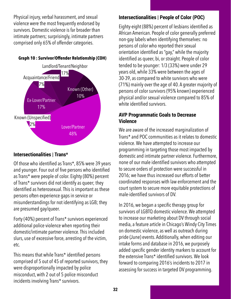Physical injury, verbal harassment, and sexual violence were the most frequently endorsed by survivors. Domestic violence is far broader than intimate partners; surprisingly, intimate partners comprised only 65% of offender categories.



## **Intersectionalities | Trans\***

Of those who identified as Trans\*, 85% were 39 years and younger. Four out of five persons who identified as Trans\* were people of color. Eighty (80%) percent of Trans\* survivors did not identify as queer; they identified as heterosexual. This is important as these persons often experience gaps in service or misunderstandings for not identifying as LGB; they are presumed gay/queer.

Forty (40%) percent of Trans\* survivors experienced additional police violence when reporting their domestic/intimate partner violence. This included slurs, use of excessive force, arresting of the victim, etc.

This means that while Trans\* identified persons comprised of 5 out of 45 of reported survivors, they were disproportionally impacted by police misconduct, with 2 out of 5 police misconduct incidents involving Trans\* survivors.

## **Intersectionalities | People of Color (POC)**

Eighty-eight (88%) percent of lesbians identified as African American. People of color generally preferred non-gay labels when identifying themselves: no persons of color who reported their sexual orientation identified as "gay," while the majority identified as queer, bi, or straight. People of color tended to be younger: 1/3 (33%) were under 29 years old, while 33% were between the ages of 30-39, as compared to white survivors who were (71%) mainly over the age of 40. A greater majority of persons of color survivors (95% known) experienced physical and/or sexual violence compared to 85% of white identified survivors.

## **AVP Programmatic Goals to Decrease Violence**

We are aware of the increased marginalization of Trans\* and POC communities as it relates to domestic violence. We have attempted to increase our programming in targeting those most impacted by domestic and intimate partner violence. Furthermore, none of our male identified survivors who attempted to secure orders of protection were successful in 2016; we have thus increased our efforts of better coordinated responses with law enforcement and the court system to secure more equitable protections of male-identified survivors of DV.

In 2016, we began a specific therapy group for survivors of LGBTQ domestic violence. We attempted to increase our marketing about DV through social media, a feature article in Chicago's Windy City Times on domestic violence, as well as outreach during pride (June) events. Additionally, when editing our intake forms and database in 2016, we purposely added specific gender identity markers to account for the extensive Trans\* identified survivors. We look forward to comparing 2016's incidents to 2017 in assessing for success in targeted DV programming.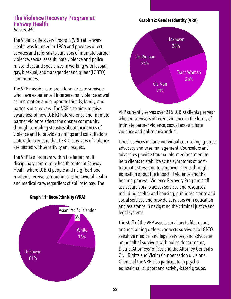#### **The Violence Recovery Program at Fenway Health** *Boston, MA*

The Violence Recovery Program (VRP) at Fenway Health was founded in 1986 and provides direct services and referrals to survivors of intimate partner violence, sexual assault, hate violence and police misconduct and specializes in working with lesbian, gay, bisexual, and transgender and queer (LGBTQ) communities.

The VRP mission is to provide services to survivors who have experienced interpersonal violence as well as information and support to friends, family, and partners of survivors. The VRP also aims to raise awareness of how LGBTQ hate violence and intimate partner violence affects the greater community through compiling statistics about incidences of violence and to provide trainings and consultations statewide to ensure that LGBTQ survivors of violence are treated with sensitivity and respect.

The VRP is a program within the larger, multidisciplinary community health center at Fenway Health where LGBTQ people and neighborhood residents receive comprehensive behavioral health and medical care, regardless of ability to pay. The



#### **Graph 11: Race/Ethnicity (VRA)**



VRP currently serves over 215 LGBTQ clients per year who are survivors of recent violence in the forms of intimate partner violence, sexual assault, hate violence and police misconduct.

Direct services include individual counseling, groups, advocacy and case management. Counselors and advocates provide trauma-informed treatment to help clients to stabilize acute symptoms of posttraumatic stress and to empower clients through education about the impact of violence and the healing process. Violence Recovery Program staff assist survivors to access services and resources, including shelter and housing, public assistance and social services and provide survivors with education and assistance in navigating the criminal justice and legal systems.

The staff of the VRP assists survivors to file reports and restraining orders; connects survivors to LGBTQsensitive medical and legal services; and advocates on behalf of survivors with police departments, District Attorneys' offices and the Attorney General's Civil Rights and Victim Compensation divisions. Clients of the VRP also participate in psychoeducational, support and activity-based groups.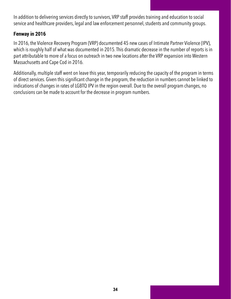In addition to delivering services directly to survivors, VRP staff provides training and education to social service and healthcare providers, legal and law enforcement personnel, students and community groups.

## **Fenway in 2016**

In 2016, the Violence Recovery Program (VRP) documented 45 new cases of Intimate Partner Violence (IPV), which is roughly half of what was documented in 2015. This dramatic decrease in the number of reports is in part attributable to more of a focus on outreach in two new locations after the VRP expansion into Western Massachusetts and Cape Cod in 2016.

Additionally, multiple staff went on leave this year, temporarily reducing the capacity of the program in terms of direct services. Given this significant change in the program, the reduction in numbers cannot be linked to indications of changes in rates of LGBTQ IPV in the region overall. Due to the overall program changes, no conclusions can be made to account for the decrease in program numbers.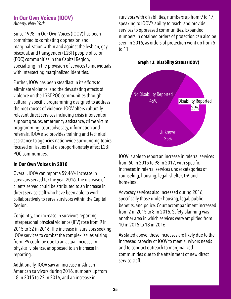### **In Our Own Voices (IOOV)**  *Albany, New York*

Since 1998, In Our Own Voices (IOOV) has been committed to combating oppression and marginalization within and against the lesbian, gay, bisexual, and transgender (LGBT) people of color (POC) communities in the Capital Region, specializing in the provision of services to individuals with intersecting marginalized identities.

Further, IOOV has been steadfast in its efforts to eliminate violence, and the devastating effects of violence on the LGBT POC communities through culturally specific programming designed to address the root causes of violence. IOOV offers culturally relevant direct services including crisis intervention, support groups, emergency assistance, crime victim programming, court advocacy, information and referrals. IOOV also provides training and technical assistance to agencies nationwide surrounding topics focused on issues that disproportionately affect LGBT POC communities.

## **In Our Own Voices in 2016**

Overall, IOOV can report a 59.46% increase in survivors served for the year 2016. The increase of clients served could be attributed to an increase in direct service staff who have been able to work collaboratively to serve survivors within the Capital Region.

Conjointly, the increase in survivors reporting interpersonal physical violence (IPV) rose from 9 in 2015 to 32 in 2016. The increase in survivors seeking IOOV services to combat the complex issues arising from IPV could be due to an actual increase in physical violence, as opposed to an increase in reporting.

Additionally, IOOV saw an increase in African American survivors during 2016, numbers up from 18 in 2015 to 22 in 2016, and an increase in

survivors with disabilities, numbers up from 9 to 17, speaking to IOOV's ability to reach, and provide services to oppressed communities. Expanded numbers in obtained orders of protection can also be seen in 2016, as orders of protection went up from 5 to 11.

**Graph 13: Disability Status (IOOV)**



IOOV is able to report an increase in referral services from 60 in 2015 to 98 in 2017, with specific increases in referral services under categories of counseling, housing, legal, shelter, DV, and homeless.

Advocacy services also increased during 2016, specifically those under housing, legal, public benefits, and police. Court accompaniment increased from 2 in 2015 to 8 in 2016. Safety planning was another area in which services were amplified from 10 in 2015 to 18 in 2016.

As stated above, these increases are likely due to the increased capacity of IOOV to meet survivors needs and to conduct outreach to marginalized communities due to the attainment of new direct service staff.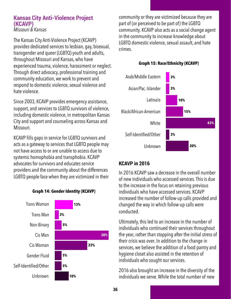#### **Kansas City Anti-Violence Project (KCAVP)**  *Missouri & Kansas*

The Kansas City Anti-Violence Project (KCAVP) provides dedicated services to lesbian, gay, bisexual, transgender and queer (LGBTQ) youth and adults, throughout Missouri and Kansas, who have experienced trauma, violence, harassment or neglect. Through direct advocacy, professional training and community education, we work to prevent and respond to domestic violence, sexual violence and hate violence.

Since 2003, KCAVP provides emergency assistance, support, and services to LGBTQ survivors of violence, including domestic violence, in metropolitan Kansas City and support and counseling across Kansas and Missouri.

KCAVP fills gaps in service for LGBTQ survivors and acts as a gateway to services that LGBTQ people may not have access to or are unable to access due to systemic homophobia and transphobia. KCAVP advocates for survivors and educates service providers and the community about the differences LGBTQ people face when they are victimized in their





community or they are victimized because they are part of (or perceived to be part of) the LGBTQ community. KCAVP also acts as a social change agent in the community to increase knowledge about LGBTQ domestic violence, sexual assault, and hate crimes.



## **Graph 15: Race/Ethnicity (KCAVP)**

## **KCAVP in 2016**

In 2016 KCAVP saw a decrease in the overall number of new individuals who accessed services. This is due to the increase in the focus on retaining previous individuals who have accessed services. KCAVP increased the number of follow-up calls provided and changed the way in which follow-up calls were conducted.

Ultimately, this led to an increase in the number of individuals who continued their services throughout the year, rather than stopping after the initial stress of their crisis was over. In addition to the change in services, we believe the addition of a food pantry and hygiene closet also assisted in the retention of individuals who sought our services.

2016 also brought an increase in the diversity of the individuals we serve. While the total number of new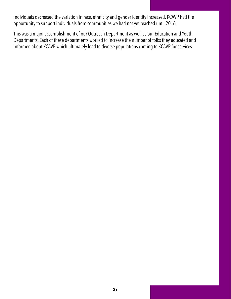individuals decreased the variation in race, ethnicity and gender identity increased. KCAVP had the opportunity to support individuals from communities we had not yet reached until 2016.

This was a major accomplishment of our Outreach Department as well as our Education and Youth Departments. Each of these departments worked to increase the number of folks they educated and informed about KCAVP which ultimately lead to diverse populations coming to KCAVP for services.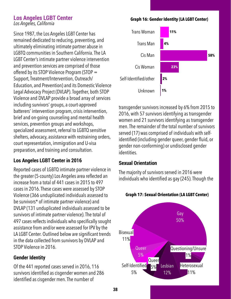#### **Los Angeles LGBT Center**  *Los Angeles, California*

Since 1987, the Los Angeles LGBT Center has remained dedicated to reducing, preventing, and ultimately eliminating intimate partner abuse in LGBTQ communities in Southern California. The LA LGBT Center's intimate partner violence intervention and prevention services are comprised of those offered by its STOP Violence Program (STOP = Support, Treatment/Intervention, Outreach/ Education, and Prevention) and its Domestic Violence Legal Advocacy Project (DVLAP). Together, both STOP Violence and DVLAP provide a broad array of services including survivors' groups, a court-approved batterers' intervention program, crisis intervention, brief and on-going counseling and mental health services, prevention groups and workshops, specialized assessment, referral to LGBTQ sensitive shelters, advocacy, assistance with restraining orders, court representation, immigration and U-visa preparation, and training and consultation.

## **Los Angeles LGBT Center in 2016**

Reported cases of LGBTQ intimate partner violence in the greater (5-county) Los Angeles area reflected an increase from a total of 441 cases in 2015 to 497 cases in 2016. These cases were assessed by STOP Violence (366 unduplicated individuals assessed to be survivors\* of intimate partner violence) and DVLAP (131 unduplicated individuals assessed to be survivors of intimate partner violence). The total of 497 cases reflects individuals who specifically sought assistance from and/or were assessed for IPV by the LA LGBT Center. Outlined below are significant trends in the data collected from survivors by DVLAP and STOP Violence in 2016.

## **Gender Identity**

Of the 441 reported cases served in 2016, 116 survivors identified as cisgender women and 286 identified as cisgender men. The number of

**Graph 16: Gender Identity (LA LGBT Center)**



transgender survivors increased by 6% from 2015 to 2016, with 57 survivors identifying as transgender women and 21 survivors identifying as transgender men. The remainder of the total number of survivors served (17) was comprised of individuals with selfidentified (including gender queer, gender fluid, or gender non-conforming) or undisclosed gender identities.

### **Sexual Orientation**

The majority of survivors served in 2016 were individuals who identified as gay (245). Though the



#### **Graph 17: Sexual Orientation (LA LGBT Center)**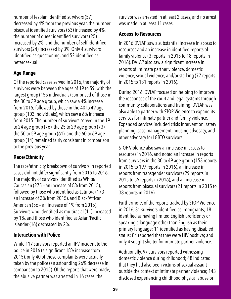number of lesbian identified survivors (57) decreased by 4% from the previous year, the number bisexual identified survivors (53) increased by 4%, the number of queer identified survivors (25) increased by 2%, and the number of self-identified survivors (24) increased by 3%. Only 4 survivors identified as questioning, and 52 identified as heterosexual.

## **Age Range**

Of the reported cases served in 2016, the majority of survivors were between the ages of 19 to 59, with the largest group (155 individuals) comprised of those in the 30 to 39 age group, which saw a 4% increase from 2015, followed by those in the 40 to 49 age group (103 individuals), which saw a 6% increase from 2015. The number of survivors served in the 19 to 24 age group (76), the 25 to 29 age group (73), the 50 to 59 age group (61), and the 60 to 69 age group (14) remained fairly consistent in comparison to the previous year.

## **Race/Ethnicity**

The race/ethnicity breakdown of survivors in reported cases did not differ significantly from 2015 to 2016. The majority of survivors identified as White/ Caucasian (275 – an increase of 8% from 2015), followed by those who identified as Latino/a (173 – an increase of 3% from 2015), and Black/African American (56 – an increase of 1% from 2015). Survivors who identified as multiracial (11) increased by 1%, and those who identified as Asian/Pacific Islander (16) decreased by 2%.

## **Interaction with Police**

While 117 survivors reported an IPV incident to the police in 2016 (a significant 18% increase from 2015), only 40 of those complaints were actually taken by the police (an astounding 26% decrease in comparison to 2015). Of the reports that were made, the abusive partner was arrested in 16 cases, the

survivor was arrested in at least 2 cases, and no arrest was made in at least 11 cases.

## **Access to Resources**

In 2016 DVLAP saw a substantial increase in access to resources and an increase in identified reports of family violence (3 reports in 2015 to 18 reports in 2016). DVLAP also saw a significant increase in reports of intimate partner violence, domestic violence, sexual violence, and/or stalking (77 reports in 2015 to 131 reports in 2016).

During 2016, DVLAP focused on helping to improve the responses of the court and legal systems through community collaborations and training. DVLAP was also able to partner with STOP Violence to expand its services for intimate partner and family violence. Expanded services included crisis intervention, safety planning, case management, housing advocacy, and other advocacy for LGBTQ survivors.

STOP Violence also saw an increase in access to resources in 2016, and noted an increase in reports from survivors in the 30 to 49 age group (153 reports in 2015 to 197 reports in 2016), an increase in reports from transgender survivors (29 reports in 2015 to 55 reports in 2016), and an increase in reports from bisexual survivors (21 reports in 2015 to 38 reports in 2016).

Furthermore, of the reports tracked by STOP Violence in 2016, 31 survivors identified as immigrants; 18 identified as having limited English proficiency or speaking a language other than English as their primary language; 11 identified as having disabled status; 84 reported that they were HIV positive; and only 4 sought shelter for intimate partner violence.

Additionally, 97 survivors reported witnessing domestic violence during childhood; 48 indicated that they had also been victims of sexual assault outside the context of intimate partner violence; 143 disclosed experiencing childhood physical abuse or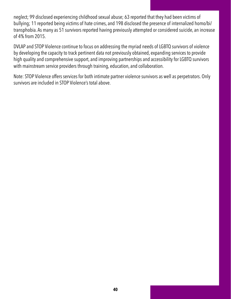neglect; 99 disclosed experiencing childhood sexual abuse; 63 reported that they had been victims of bullying; 11 reported being victims of hate crimes, and 198 disclosed the presence of internalized homo/bi/ transphobia. As many as 51 survivors reported having previously attempted or considered suicide, an increase of 4% from 2015.

DVLAP and STOP Violence continue to focus on addressing the myriad needs of LGBTQ survivors of violence by developing the capacity to track pertinent data not previously obtained, expanding services to provide high quality and comprehensive support, and improving partnerships and accessibility for LGBTQ survivors with mainstream service providers through training, education, and collaboration.

Note: STOP Violence offers services for both intimate partner violence survivors as well as perpetrators. Only survivors are included in STOP Violence's total above.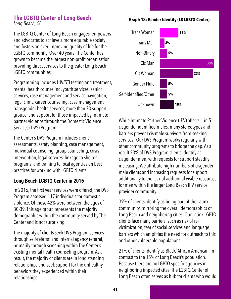## **The LGBTQ Center of Long Beach**  *Long Beach, CA*

The LGBTQ Center of Long Beach engages, empowers and advocates to achieve a more equitable society and fosters an ever-improving quality of life for the LGBTQ community. Over 40 years, The Center has grown to become the largest non-profit organization providing direct services to the greater Long Beach LGBTQ communities.

Programming includes HIV/STI testing and treatment, mental health counseling, youth services, senior services, case management and service navigation, legal clinic, career counseling, case management, transgender health services, more than 20 support groups, and support for those impacted by intimate partner violence through the Domestic Violence Services (DVS) Program.

The Center's DVS Program includes client assessments, safety planning, case management, individual counseling, group counseling, crisis intervention, legal services, linkage to shelter programs, and training to local agencies on best practices for working with LGBTQ clients.

## **Long Beach LGBTQ Center in 2016**

In 2016, the first year services were offered, the DVS Program assessed 117 individuals for domestic violence. Of those 42% were between the ages of 30-39. This age group represents the majority demographic within the community served by The Center and is not surprising.

The majority of clients seek DVS Program services through self-referral and internal agency referral, primarily through screening within The Center's existing mental health counseling program. As a result, the majority of clients are in long standing relationships and seek support for the unhealthy behaviors they experienced within their relationships.





While Intimate Partner Violence (IPV) affects 1 in 5 cisgender identified males, many stereotypes and barriers prevent cis-male survivors from seeking services. Our DVS Program works regularly with other community programs to bridge the gap. As a result 23% of DVS Program clients identify as cisgender men, with requests for support steadily increasing. We attribute high numbers of cisgender male clients and increasing requests for support additionally to the lack of additional visible resources for men within the larger Long Beach IPV service provider community.

39% of clients identify as being part of the Latinx community, mirroring the overall demographics of Long Beach and neighboring cities. Our Latinx LGBTQ clients face many barriers, such as risk of revictimization, fear of social services and language barriers which amplifies the need for outreach to this and other vulnerable populations.

21% of clients identify as Black/ African American, in contrast to the 15% of Long Beach's population. Because there are no LGBTQ specific agencies in neighboring impacted cites, The LGBTQ Center of Long Beach often serves as hub for clients who would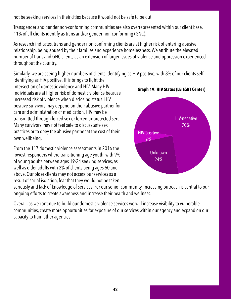not be seeking services in their cities because it would not be safe to be out.

Transgender and gender non-conforming communities are also overrepresented within our client base. 11% of all clients identify as trans and/or gender non-conforming (GNC).

As research indicates, trans and gender non-confirming clients are at higher risk of entering abusive relationship, being abused by their families and experience homelessness. We attribute the elevated number of trans and GNC clients as an extension of larger issues of violence and oppression experienced throughout the country.

Similarly, we are seeing higher numbers of clients identifying as HIV positive, with 8% of our clients self-

identifying as HIV positive. This brings to light the intersection of domestic violence and HIV. Many HIV individuals are at higher risk of domestic violence because increased risk of violence when disclosing status. HIV positive survivors may depend on their abusive partner for care and administration of medication. HIV may be transmitted through forced sex or forced unprotected sex. Many survivors may not feel safe to discuss safe sex practices or to obey the abusive partner at the cost of their own wellbeing.

From the 117 domestic violence assessments in 2016 the lowest responders where transitioning age youth, with 9% of young adults between ages 19-24 seeking services, as well as older adults with 2% of clients being ages 60 and above. Our older clients may not access our services as a result of social isolation, fear that they would not be taken



**Graph 19: HIV Status (LB LGBT Center)**

seriously and lack of knowledge of services. For our senior community, increasing outreach is central to our ongoing efforts to create awareness and increase their health and wellness.

Overall, as we continue to build our domestic violence services we will increase visibility to vulnerable communities, create more opportunities for exposure of our services within our agency and expand on our capacity to train other agencies.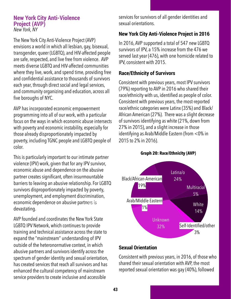#### **New York City Anti-Violence Project (AVP)**  *New York, NY*

The New York City Anti-Violence Project (AVP) envisions a world in which all lesbian, gay, bisexual, transgender, queer (LGBTQ), and HIV-affected people are safe, respected, and live free from violence. AVP meets diverse LGBTQ and HIV-affected communities where they live, work, and spend time, providing free and confidential assistance to thousands of survivors each year, through direct social and legal services, and community organizing and education, across all five boroughs of NYC.

AVP has incorporated economic empowerment programming into all of our work, with a particular focus on the ways in which economic abuse intersects with poverty and economic instability, especially for those already disproportionately impacted by poverty, including TGNC people and LGBTQ people of color.

This is particularly important to our intimate partner violence (IPV) work, given that for any IPV survivor, economic abuse and dependence on the abusive partner creates significant, often insurmountable barriers to leaving an abusive relationship. For LGBTQ survivors disproportionately impacted by poverty, unemployment, and employment discrimination, economic dependence on abusive partners is devastating.

AVP founded and coordinates the New York State LGBTQ IPV Network, which continues to provide training and technical assistance across the state to expand the "mainstream" understanding of IPV outside of the heteronormative context, in which abusive partners and survivors identify across the spectrum of gender identity and sexual orientation, has created services that reach all survivors and has enhanced the cultural competency of mainstream service providers to create inclusive and accessible

services for survivors of all gender identities and sexual orientations.

## **New York City Anti-Violence Project in 2016**

In 2016, AVP supported a total of 547 new LGBTQ survivors of IPV, a 15% increase from the 476 we served last year (476), with one homicide related to IPV, consistent with 2015.

## **Race/Ethnicity of Survivors**

Consistent with previous years, most IPV survivors (79%) reporting to AVP in 2016 who shared their race/ethnicity with us, identified as people of color. Consistent with previous years, the most-reported race/ethnic categories were Latinx (35%) and Black/ African American (27%). There was a slight decrease of survivors identifying as white (21%, down from 27% in 2015), and a slight increase in those identifying as Arab/Middle Eastern (from <0% in 2015 to 2% in 2016).



## **Graph 20: Race/Ethnicity (AVP)**

## **Sexual Orientation**

Consistent with previous years, in 2016, of those who shared their sexual orientation with AVP, the most reported sexual orientation was gay (40%), followed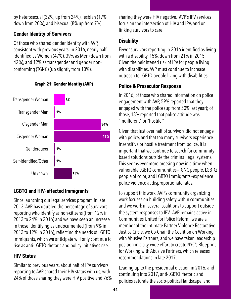by heterosexual (32%, up from 24%), lesbian (17%, down from 20%), and bisexual (8% up from 7%).

## **Gender Identity of Survivors**

Of those who shared gender identity with AVP, consistent with previous years, in 2016, nearly half identified as Women (47%), 39% as Men (down from 42%), and 12% as transgender and gender nonconforming (TGNC) (up slightly from 10%).



**Graph 21: Gender Identity (AVP)**

## **LGBTQ and HIV-affected Immigrants**

Since launching our legal services program in late 2013, AVP has doubled the percentage of survivors reporting who identify as non-citizens (from 12% in 2013 to 24% in 2016) and we have seen an increase in those identifying as undocumented (from 9% in 2013 to 12% in 2016), reflecting the needs of LGBTQ immigrants, which we anticipate will only continue to rise as anti-LGBTQ rhetoric and policy initiatives rise.

## **HIV Status**

Similar to previous years, about half of IPV survivors reporting to AVP shared their HIV status with us, with 24% of those sharing they were HIV positive and 76% sharing they were HIV negative. AVP's IPV services focus on the intersection of HIV and IPV, and on linking survivors to care.

## **Disability**

Fewer survivors reporting in 2016 identified as living with a disability, 15%, down from 21% in 2015. Given the heightened risk of IPV for people living with disabilities, AVP must continue to increase outreach to LGBTQ people living with disabilities.

## **Police & Prosecutor Response**

In 2016, of those who shared information on police engagement with AVP, 59% reported that they engaged with the police (up from 50% last year); of those, 13% reported that police attitude was "indifferent" or "hostile."

Given that just over half of survivors did not engage with police, and that too many survivors experience insensitive or hostile treatment from police, it is important that we continue to search for communitybased solutions outside the criminal legal systems. This seems ever more pressing now in a time when vulnerable LGBTQ communities—TGNC people, LGBTQ people of color, and LGBTQ immigrants--experience police violence at disproportionate rates.

To support this work, AVP's community organizing work focuses on building safety within communities, and we work in several coalitions to support outside the system responses to IPV. AVP remains active in Communities United for Police Reform, we are a member of the Intimate Partner Violence Restorative Justice Circle, we Co-Chair the Coalition on Working with Abusive Partners, and we have taken leadership position in a city-wide effort to create NYC's Blueprint for Working with Abusive Partners, which releases recommendations in late 2017.

Leading up to the presidential election in 2016, and continuing into 2017, anti-LGBTQ rhetoric and policies saturate the socio-political landscape, and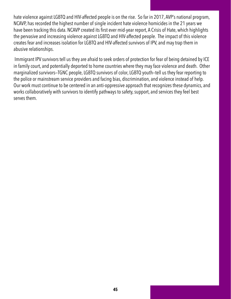hate violence against LGBTQ and HIV-affected people is on the rise. So far in 2017, AVP's national program, NCAVP, has recorded the highest number of single incident hate violence homicides in the 21 years we have been tracking this data. NCAVP created its first ever mid-year report, A Crisis of Hate, which highlights the pervasive and increasing violence against LGBTQ and HIV-affected people. The impact of this violence creates fear and increases isolation for LGBTQ and HIV-affected survivors of IPV, and may trap them in abusive relationships.

 Immigrant IPV survivors tell us they are afraid to seek orders of protection for fear of being detained by ICE in family court, and potentially deported to home countries where they may face violence and death. Other marginalized survivors—TGNC people, LGBTQ survivors of color, LGBTQ youth—tell us they fear reporting to the police or mainstream service providers and facing bias, discrimination, and violence instead of help. Our work must continue to be centered in an anti-oppressive approach that recognizes these dynamics, and works collaboratively with survivors to identify pathways to safety, support, and services they feel best serves them.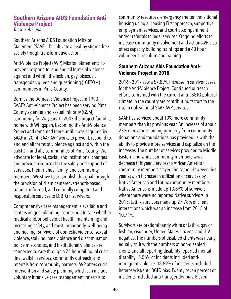## **Southern Arizona AIDS Foundation Anti-Violence Project**

*Tucson, Arizona* 

Southern Arizona AIDS Foundation Mission Statement (SAAF): To cultivate a healthy stigma-free society trough transformative action.

Anti-Violence Project (AVP) Mission Statement: To prevent, respond to, and end all forms of violence against and within the lesbian, gay, bisexual, transgender, queer, and questioning (LGBTQ+) communities in Pima County.

Born as the Domestic Violence Project in 1993, SAAF's Anti-Violence Project has been serving Pima County's gender and sexual minority (GSM) community for 24 years. In 2003 the project found its home with Wingspan, becoming the Anti-Violence Project and remained there until it was acquired by SAAF in 2014. SAAF AVP works to prevent, respond to, and end all forms of violence against and within the LGBTQ+ and ally communities of Pima County. We advocate for legal, social, and institutional changes and provide resources for the safety and support of survivors, their friends, family, and community members. We strive to accomplish this goal through the provision of client-centered, strength-based, trauma- informed, and culturally competent and responsible services to LGBTQ+ survivors.

Comprehensive case management is available and centers on goal planning, connection to care whether medical and/or behavioral health, maintaining and increasing safety, and most importantly, well-being and healing. Survivors of domestic violence, sexual violence, stalking, hate violence and discrimination, police misconduct, and institutional violence are connected to care through a 24 hour bilingual crisis line, walk-in services, community outreach, and referrals from community partners. AVP offers crisis intervention and safety planning which can include voluntary intensive case management, referrals to

community resources, emergency shelter, transitional housing using a Housing First approach, supportive employment services, and court accompaniment and/or referrals to legal services. Ongoing efforts to increase community involvement and action AVP also offers capacity building trainings and a 40 hour volunteer curriculum and training.

## **Southern Arizona Aids Foundation Anti-Violence Project in 2016**

2016 - 2017 saw a 57.89% increase in survivor cases for the Anti-Violence Project. Continued outreach efforts combined with the current anti-LBGTQ political climate in the country are contributing factors to the rise in utilization of SAAF-AVP services.

SAAF has serviced about 10% more community members than its previous year. An increase of about 23% in revenue coming primarily from community donations and foundations has provided us with the ability to provide more services and capitalize on the increases. The number of services provided to Middle Eastern and white community members saw a decrease this year. Services to African American community members stayed the same. However, this year saw an increase in utilization of services by Native American and Latinx community members. Native Americans made up 13.89% of survivors where there were no reported Native survivors in 2015. Latinx survivors made up 27.78% of client interactions which was an increase from 2015 of 10.71%.

Survivors are predominantly white or Latinx, gay or lesbian, cisgender, United States citizens, and HIVnegative. The numbers of disabled clients was nearly equally split with the numbers of non-disabled clients and all reporting disability reported mental disability. 5.56% of incidents included antiimmigrant violence. 38.89% of incidents included heterosexist/ant-LBGTQ bias. Twenty seven percent of incidents included anti-transgender bias. Eleven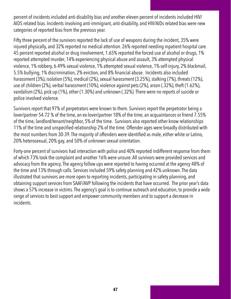percent of incidents included anti-disability bias and another eleven percent of incidents included HIV/ AIDS related bias. Incidents involving anti-immigrant, anti-disability, and HIV/AIDs related bias were new categories of reported bias from the previous year.

Fifty three percent of the survivors reported the lack of use of weapons during the incident, 35% were injured physically, and 32% reported no medical attention. 26% reported needing inpatient hospital care. 45 percent reported alcohol or drug involvement, 1.65% reported the forced use of alcohol or drugs, 1% reported attempted murder, 14% experiencing physical abuse and assault, 3% attempted physical violence, 1% robbery, 6.49% sexual violence, 1% attempted sexual violence, 1% self-injury, 2% blackmail, 5.5% bullying, 1% discrimination, 2% eviction, and 8% financial abuse. Incidents also included harassment (3%), isolation (5%), medical (2%), sexual harassment (3.25%), stalking (7%), threats (12%), use of children (2%), verbal harassment (10%), violence against pets (2%), arson (.32%), theft (1.62%), vandalism (2%), pick up (1%), other (1.30%) and unknown (.32%) There were no reports of suicide or police involved violence.

Survivors report that 97% of perpetrators were known to them. Survivors report the perpetrator being a lover/partner 54.72 % of the time, an ex-lover/partner 18% of the time, an acquaintances or friend 7.55% of the time, landlord/tenant/neighbor, 5% of the time. Survivors also reported other know relationships 11% of the time and unspecified relationship 2% of the time. Offender ages were broadly distributed with the most numbers from 30-39. The majority of offenders were identified as male, either white or Latino, 20% heterosexual, 20% gay, and 50% of unknown sexual orientation.

Forty-one percent of survivors had interaction with police and 40% reported indifferent response from them of which 73% took the complaint and another 16% were unsure. All survivors were provided services and advocacy from the agency. The agency follow ups were reported to having occurred at the agency 48% of the time and 13% through calls. Services included 59% safety planning and 42% unknown. The data illustrated that survivors are more open to reporting incidents, participating in safety planning, and obtaining support services from SAAF/AVP following the incidents that have occurred. The prior year's data shows a 57% increase in victims. The agency's goal is to continue outreach and education, to provide a wide range of services to best support and empower community members and to support a decrease in incidents.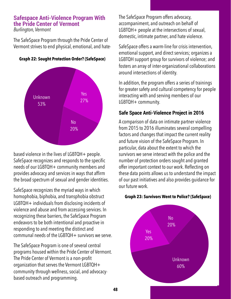## **Safespace Anti-Violence Program With the Pride Center of Vermont**

*Burlington, Vermont* 

The SafeSpace Program through the Pride Center of Vermont strives to end physical, emotional, and hate-



#### **Graph 22: Sought Protection Order? (SafeSpace)**

based violence in the lives of LGBTQH+ people. SafeSpace recognizes and responds to the specific needs of our LGBTQH+ community members and provides advocacy and services in ways that affirm the broad spectrum of sexual and gender identities.

SafeSpace recognizes the myriad ways in which homophobia, biphobia, and transphobia obstruct LGBTQH+ individuals from disclosing incidents of violence and abuse and from accessing services. In recognizing these barriers, the SafeSpace Program endeavors to be both intentional and proactive in responding to and meeting the distinct and communal needs of the LGBTQH+ survivors we serve.

The SafeSpace Program is one of several central programs housed within the Pride Center of Vermont. The Pride Center of Vermont is a non-profit organization that serves the Vermont LGBTQH+ community through wellness, social, and advocacybased outreach and programming.

The SafeSpace Program offers advocacy, accompaniment, and outreach on behalf of LGBTQH+ people at the intersections of sexual, domestic, intimate partner, and hate violence.

SafeSpace offers a warm-line for crisis intervention, emotional support, and direct services; organizes a LGBTQH support group for survivors of violence; and fosters an array of inter-organizational collaborations around intersections of identity.

In addition, the program offers a series of trainings for greater safety and cultural competency for people interacting with and serving members of our LGBTQH+ community.

## **Safe Space Anti-Violence Project in 2016**

A comparison of data on intimate partner violence from 2015 to 2016 illuminates several compelling factors and changes that impact the current reality and future vision of the SafeSpace Program. In particular, data about the extent to which the survivors we serve interact with the police and the number of protection orders sought and granted offer important context to our work. Reflecting on these data points allows us to understand the impact of our past initiatives and also provides guidance for our future work.

#### **Graph 23: Survivors Went to Police? (SafeSpace)**

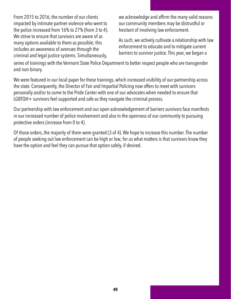From 2015 to 2016, the number of our clients impacted by intimate partner violence who went to the police increased from 16% to 27% (from 3 to 4). We strive to ensure that survivors are aware of as many options available to them as possible; this includes an awareness of avenues through the criminal and legal justice systems. Simultaneously,

we acknowledge and affirm the many valid reasons our community members may be distrustful or hesitant of involving law enforcement.

As such, we actively cultivate a relationship with law enforcement to educate and to mitigate current barriers to survivor justice. This year, we began a

series of trainings with the Vermont State Police Department to better respect people who are transgender and non-binary.

We were featured in our local paper for these trainings, which increased visibility of our partnership across the state. Consequently, the Director of Fair and Impartial Policing now offers to meet with survivors personally and/or to come to the Pride Center with one of our advocates when needed to ensure that LGBTQH+ survivors feel supported and safe as they navigate the criminal process.

Our partnership with law enforcement and our open acknowledgement of barriers survivors face manifests in our increased number of police involvement and also in the openness of our community to pursuing protective orders (increase from 0 to 4).

Of those orders, the majority of them were granted (3 of 4). We hope to increase this number. The number of people seeking out law enforcement can be high or low; for us what matters is that survivors know they have the option and feel they can pursue that option safely, if desired.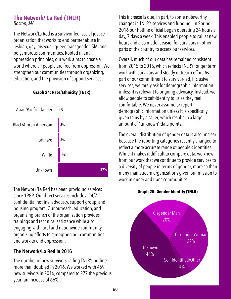## **The Network/ La Red (TNLR)**  *Boston, MA*

The Network/La Red is a survivor-led, social justice organization that works to end partner abuse in lesbian, gay, bisexual, queer, transgender, SM, and polyamorous communities. Rooted in antioppression principles, our work aims to create a world where all people are free from oppression. We strengthen our communities through organizing, education, and the provision of support services.



#### **Graph 24: Race/Ethnicity (TNLR)**

The Network/La Red has been providing services since 1989. Our direct services include a 24/7 confidential hotline, advocacy, support group, and housing program. Our outreach, education, and organizing branch of the organization provides trainings and technical assistance while also engaging with local and nationwide community organizing efforts to strengthen our communities and work to end oppression.

## **The Network/La Red in 2016**

The number of new survivors calling TNLR's hotline more than doubled in 2016. We worked with 459 new survivors in 2016, compared to 277 the previous year—an increase of 66%.

This increase is due, in part, to some noteworthy changes in TNLR's services and funding. In Spring 2016 our hotline official began operating 24 hours a day, 7 days a week. This enabled people to call at new hours and also made it easier for survivors in other parts of the country to access our services.

Overall, much of our data has remained consistent from 2015 to 2016, which reflects TNLR's longer term work with survivors and steady outreach effort. As part of our commitment to survivor-led, inclusive services, we rarely ask for demographic information unless it is relevant to ongoing advocacy. Instead, we allow people to self-identify to us as they feel comfortable. We never assume or report demographic information unless it is specifically given to us by a caller, which results in a large amount of "unknown" data points.

The overall distribution of gender data is also unclear because the reporting categories recently changed to reflect a more accurate range of people's identities. While it makes it difficult to compare data, we know from our work that we continue to provide services to a diversity of people in terms of gender, more so than many mainstream organizations given our mission to work in queer and trans communities.



#### **Graph 25: Gender Identity (TNLR)**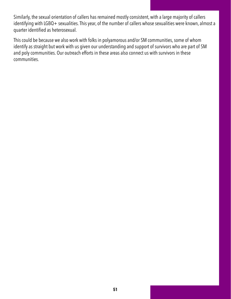Similarly, the sexual orientation of callers has remained mostly consistent, with a large majority of callers identifying with LGBQ+ sexualities. This year, of the number of callers whose sexualities were known, almost a quarter identified as heterosexual.

This could be because we also work with folks in polyamorous and/or SM communities, some of whom identify as straight but work with us given our understanding and support of survivors who are part of SM and poly communities. Our outreach efforts in these areas also connect us with survivors in these communities.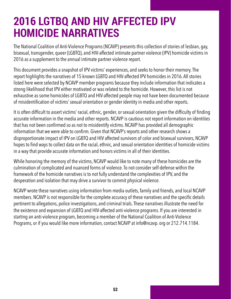## <span id="page-51-0"></span>**2016 LGTBQ AND HIV AFFECTED IPV HOMICIDE NARRATIVES**

The National Coalition of Anti-Violence Programs (NCAVP) presents this collection of stories of lesbian, gay, bisexual, transgender, queer (LGBTQ), and HIV-affected intimate partner violence (IPV) homicide victims in 2016 as a supplement to the annual intimate partner violence report.

This document provides a snapshot of IPV victims' experiences, and seeks to honor their memory. The report highlights the narratives of 15 known LGBTQ and HIV-affected IPV homicides in 2016. All stories listed here were selected by NCAVP member programs because they include information that indicates a strong likelihood that IPV either motivated or was related to the homicide. However, this list is not exhaustive as some homicides of LGBTQ and HIV-affected people may not have been documented because of misidentification of victims' sexual orientation or gender identity in media and other reports.

It is often difficult to assert victims' racial, ethnic, gender, or sexual orientation given the difficulty of finding accurate information in the media and other reports. NCAVP is cautious not report information on identities that has not been confirmed so as not to misidentify victims. NCAVP has provided all demographic information that we were able to confirm. Given that NCAVP's reports and other research shows a disproportionate impact of IPV on LGBTQ and HIV affected survivors of color and bisexual survivors, NCAVP hopes to find ways to collect data on the racial, ethnic, and sexual orientation identities of homicide victims in a way that provide accurate information and honors victims in all of their identities.

While honoring the memory of the victims, NCAVP would like to note many of these homicides are the culmination of complicated and nuanced forms of violence. To not consider self-defense within the framework of the homicide narratives is to not fully understand the complexities of IPV, and the desperation and isolation that may drive a survivor to commit physical violence.

NCAVP wrote these narratives using information from media outlets, family and friends, and local NCAVP members. NCAVP is not responsible for the complete accuracy of these narratives and the specific details pertinent to allegations, police investigations, and criminal trials. These narratives illustrate the need for the existence and expansion of LGBTQ and HIV-affected anti-violence programs. If you are interested in starting an anti-violence program, becoming a member of the National Coalition of Anti-Violence Programs, or if you would like more information, contact NCAVP at info@ncavp. org or 212.714.1184.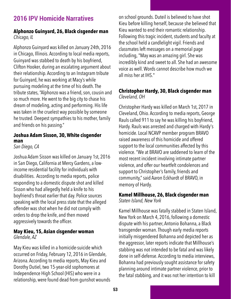## **2016 IPV Homicide Narratives**

## **Alphonzo Guinyard, 26, Black cisgender man**  *Chicago, IL*

Alphonzo Guinyard was killed on January 24th, 2016 in Chicago, Illinois. According to local media reports, Guinyard was stabbed to death by his boyfriend, Clifton Hooker, during an escalating argument about their relationship. According to an Instagram tribute for Guinyard, he was working at Macy's while pursuing modeling at the time of his death. The tribute states, "Alphonzo was a friend, son, cousin and so much more. He went to the big city to chase his dream of modeling, acting and performing. His life was taken in the cruelest way possible by someone he trusted. Deepest sympathies to his mother, family and friends on his passing."

## **Joshua Adam Sisson, 30, White cisgender man**

*San Diego, CA* 

Joshua Adam Sisson was killed on January 1st, 2016 in San Diego, California at Mercy Gardens, a lowincome residential facility for individuals with disabilities. According to media reports, police responding to a domestic dispute shot and killed Sisson who had allegedly held a knife to his boyfriend's throat earlier that day. Police sources speaking with the local press state that the alleged offender was shot when he did not comply with orders to drop the knife, and then moved aggressively towards the officer.

## **May Kieu, 15, Asian cisgender woman**  *Glendale, AZ*

May Kieu was killed in a homicide-suicide which occurred on Friday, February 12, 2016 in Glendale, Arizona. According to media reports, May Kieu and Dorothy Dutiel, two 15-year-old sophomores at Independence High School (HIS) who were in a relationship, were found dead from gunshot wounds

on school grounds. Duteil is believed to have shot Kieu before killing herself, because she believed that Kieu wanted to end their romantic relationship. Following this tragic incident, students and faculty at the school held a candlelight vigil. Friends and classmates left messages on a memorial page including, "May was an amazing girl. She was incredibly kind and sweet to all. She had an awesome voice as well. Words cannot describe how much we all miss her at IHS."

## **Christopher Hardy, 30, Black cisgender man**  *Cleveland, OH*

Christopher Hardy was killed on March 1st, 2017 in Cleveland, Ohio. According to media reports, George Rauls called 911 to say he was killing his boyfriend, Hardy. Rauls was arrested and charged with Hardy's homicide. Local NCAVP member program BRAVO raised awareness of this homicide and offered support to the local communities affected by this violence. "We at BRAVO are saddened to learn of the most recent incident involving intimate partner violence, and offer our heartfelt condolences and support to Christopher's family, friends and community," said Aaron Eckhardt of BRAVO, in memory of Hardy.

#### **Kamel Millhouse, 26, Black cisgender man**  *Staten Island, New York*

Kamel Millhouse was fatally stabbed in Staten Island, New York on March 4, 2016, following a domestic dispute with his partner, Antonio Bohanna, a Black transgender woman. Though early media reports initially misgendered Bohanna and depicted her as the aggressor, later reports indicate that Millhouse's stabbing was not intended to be fatal and was likely done in self-defense. According to media interviews, Bohanna had previously sought assistance for safety planning around intimate partner violence, prior to the fatal stabbing, and it was not her intention to kill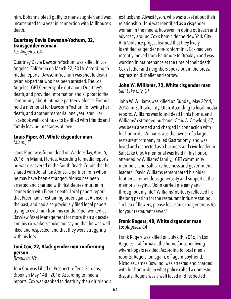him. Bohanna plead guilty to manslaughter, and was incarcerated for a year in connection with Millhouse's death.

## **Quartney Davia Dawsonn-Yochum, 32, transgender woman**

*Los Angeles, CA* 

Quartney Davia Dawsonn-Yochum was killed in Los Angeles, California on March 22, 2016. According to media reports, Dawsonn-Yochum was shot to death by an ex-partner who has been arrested. The Los Angeles LGBT Center spoke out about Quartney's death, and provided information and support to the community about intimate partner violence. Friends held a memorial for Dawsonn-Yochum following her death, and another memorial one year later. Her Facebook wall continues to be filled with friends and family leaving messages of love.

## **Louis Piper, 61, White cisgender man**  *Miami, FL*

Louis Piper was found dead on Wednesday, April 6, 2016, in Miami, Florida. According to media reports, he was discovered in the South Beach Condo that he shared with Jonathan Alonso, a partner from whom he may have been estranged. Alonso has been arrested and charged with first-degree murder in connection with Piper's death. Local papers report that Piper had a restraining order against Alonso in the past, and had also previously filed legal papers trying to evict him from his condo. Piper worked at Bayview Asset Management for more than a decade, and his co-workers spoke out saying that he was well liked and respected, and that they were struggling with his loss.

## **Toni Cox, 22, Black gender non-conforming person**

*Brooklyn, NY* 

Toni Cox was killed in Prospect Lefferts Gardens, Brooklyn May 14th, 2016. According to media reports, Cox was stabbed to death by their girlfriend's ex-husband, Alwasi Tyson, who was upset about their relationship. Toni was identified as a cisgender woman in the media, however, in doing outreach and advocacy around Cox's homicide the New York City Anti-Violence project learned that they likely identified as gender non-conforming. Cox had very recently moved from Baltimore to Brooklyn and was working in maintenance at the time of their death. Cox's father and neighbors spoke out in the press, expressing disbelief and sorrow.

### **John W. Williams, 72, White cisgender man**  *Salt Lake City, UT*

John W. Williams was killed on Sunday, May 22nd, 2016, in Salt Lake City, Utah. According to local media reports, Williams was found dead in his home, and Williams' estranged husband, Craig A. Crawford, 47, was been arrested and charged in connection with his homicide. Williams was the owner of a large restaurant company called Gastronomy, and was loved and respected as a business and civic leader in Salt Lake City. A memorial was held in his honor, attended by Williams' family, LGBT community members, and Salt Lake business and government leaders. David Williams remembered his older brother's tremendous generosity and support at the memorial saying, "John carried me early and throughout my life." Williams' obituary reflected his lifelong passion for the restaurant industry stating, "In lieu of flowers, please leave an extra generous tip for your restaurant server."

### **Frank Rogers, 48, White cisgender man**  *Los Angeles, CA*

Frank Rogers was killed on July 8th, 2016, in Los Angeles, California at the home for sober living where Rogers resided. According to local media reports, Rogers' on-again, off-again boyfriend, Nicholas James Bowling, was arrested and charged with his homicide in what police called a domestic dispute. Rogers was a well loved and respected